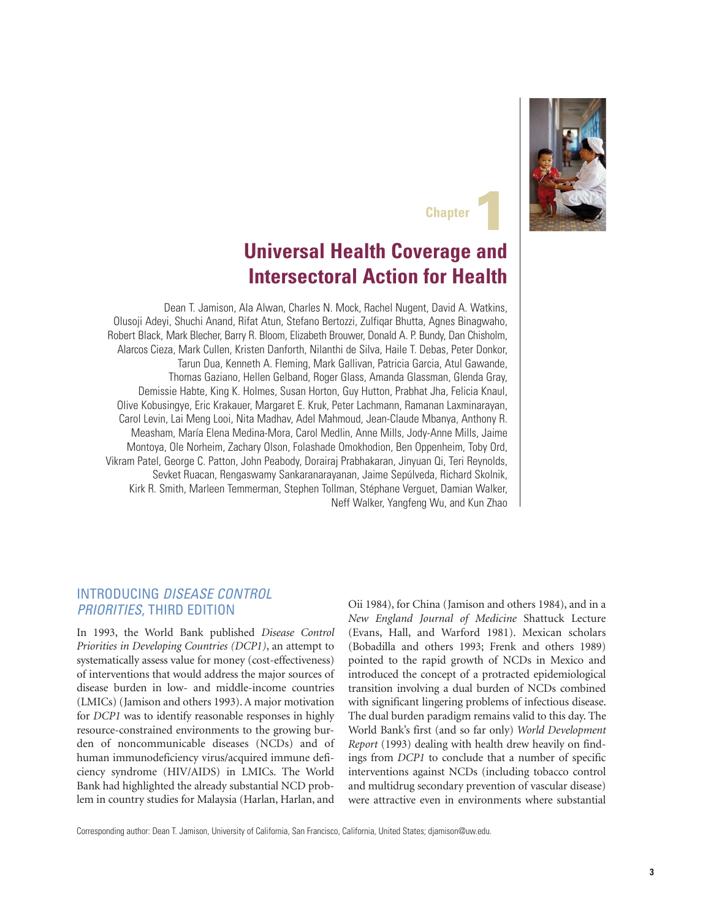

## **Chapter 1**

# **Universal Health Coverage and Intersectoral Action for Health**

Dean T. Jamison, Ala Alwan, Charles N. Mock, Rachel Nugent, David A. Watkins, Olusoji Adeyi, Shuchi Anand, Rifat Atun, Stefano Bertozzi, Zulfiqar Bhutta, Agnes Binagwaho, Robert Black, Mark Blecher, Barry R. Bloom, Elizabeth Brouwer, Donald A. P. Bundy, Dan Chisholm, Alarcos Cieza, Mark Cullen, Kristen Danforth, Nilanthi de Silva, Haile T. Debas, Peter Donkor, Tarun Dua, Kenneth A. Fleming, Mark Gallivan, Patricia Garcia, Atul Gawande, Thomas Gaziano, Hellen Gelband, Roger Glass, Amanda Glassman, Glenda Gray, Demissie Habte, King K. Holmes, Susan Horton, Guy Hutton, Prabhat Jha, Felicia Knaul, Olive Kobusingye, Eric Krakauer, Margaret E. Kruk, Peter Lachmann, Ramanan Laxminarayan, Carol Levin, Lai Meng Looi, Nita Madhav, Adel Mahmoud, Jean-Claude Mbanya, Anthony R. Measham, María Elena Medina-Mora, Carol Medlin, Anne Mills, Jody-Anne Mills, Jaime Montoya, Ole Norheim, Zachary Olson, Folashade Omokhodion, Ben Oppenheim, Toby Ord, Vikram Patel, George C. Patton, John Peabody, Dorairaj Prabhakaran, Jinyuan Qi, Teri Reynolds, Sevket Ruacan, Rengaswamy Sankaranarayanan, Jaime Sepúlveda, Richard Skolnik, Kirk R. Smith, Marleen Temmerman, Stephen Tollman, Stéphane Verguet, Damian Walker, Neff Walker, Yangfeng Wu, and Kun Zhao

# INTRODUCING DISEASE CONTROL PRIORITIES, THIRD EDITION

In 1993, the World Bank published *Disease Control Priorities in Developing Countries (DCP1)*, an attempt to systematically assess value for money (cost-effectiveness) of interventions that would address the major sources of disease burden in low- and middle- income countries (LMICs) (Jamison and others 1993). A major motivation for *DCP1* was to identify reasonable responses in highly resource-constrained environments to the growing burden of noncommunicable diseases (NCDs) and of human immunodeficiency virus/acquired immune deficiency syndrome (HIV/AIDS) in LMICs. The World Bank had highlighted the already substantial NCD problem in country studies for Malaysia (Harlan, Harlan, and

Oii 1984), for China (Jamison and others 1984), and in a *New England Journal of Medicine* Shattuck Lecture (Evans, Hall, and Warford 1981). Mexican scholars (Bobadilla and others 1993; Frenk and others 1989) pointed to the rapid growth of NCDs in Mexico and introduced the concept of a protracted epidemiological transition involving a dual burden of NCDs combined with significant lingering problems of infectious disease. The dual burden paradigm remains valid to this day. The World Bank's first (and so far only) *World Development Report* (1993) dealing with health drew heavily on findings from *DCP1* to conclude that a number of specific interventions against NCDs (including tobacco control and multidrug secondary prevention of vascular disease) were attractive even in environments where substantial

Corresponding author: Dean T. Jamison, University of California, San Francisco, California, United States; djamison@uw.edu.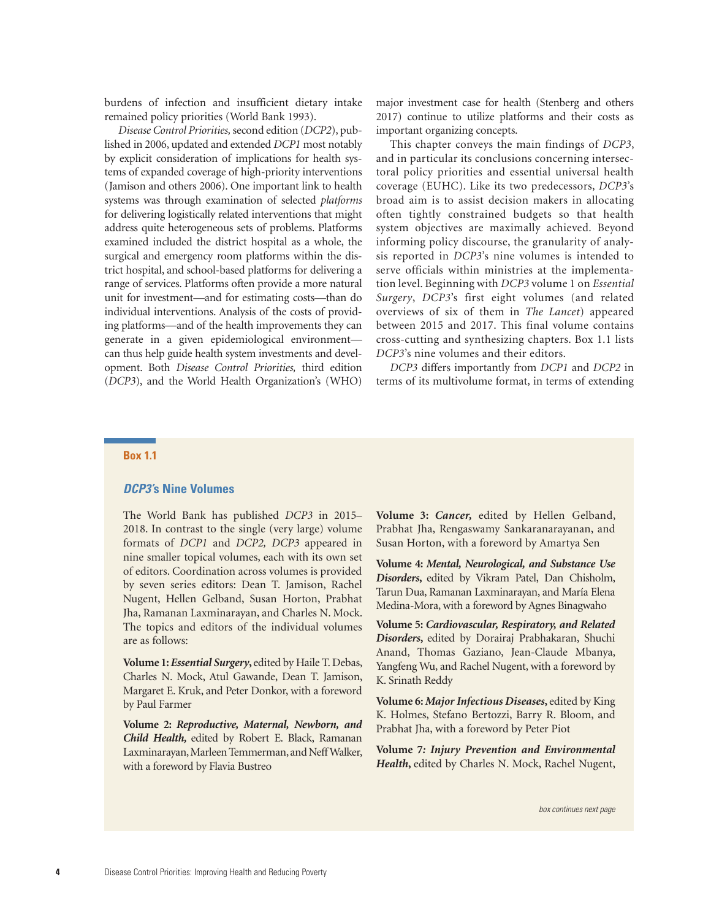burdens of infection and insufficient dietary intake remained policy priorities (World Bank 1993).

*Disease Control Priorities,* second edition (*DCP2*), published in 2006, updated and extended *DCP1* most notably by explicit consideration of implications for health systems of expanded coverage of high-priority interventions (Jamison and others 2006). One important link to health systems was through examination of selected *platforms* for delivering logistically related interventions that might address quite heterogeneous sets of problems. Platforms examined included the district hospital as a whole, the surgical and emergency room platforms within the district hospital, and school-based platforms for delivering a range of services. Platforms often provide a more natural unit for investment—and for estimating costs—than do individual interventions. Analysis of the costs of providing platforms—and of the health improvements they can generate in a given epidemiological environment can thus help guide health system investments and development. Both *Disease Control Priorities,* third edition (*DCP3*), and the World Health Organization's (WHO)

major investment case for health (Stenberg and others 2017) continue to utilize platforms and their costs as important organizing concepts.

This chapter conveys the main findings of *DCP3*, and in particular its conclusions concerning intersectoral policy priorities and essential universal health coverage (EUHC). Like its two predecessors, *DCP3*'s broad aim is to assist decision makers in allocating often tightly constrained budgets so that health system objectives are maximally achieved. Beyond informing policy discourse, the granularity of analysis reported in *DCP3*'s nine volumes is intended to serve officials within ministries at the implementation level. Beginning with *DCP3* volume 1 on *Essential Surgery*, *DCP3*'s first eight volumes (and related overviews of six of them in *The Lancet*) appeared between 2015 and 2017. This final volume contains cross-cutting and synthesizing chapters. Box 1.1 lists *DCP3*'s nine volumes and their editors.

*DCP3* differs importantly from *DCP1* and *DCP2* in terms of its multivolume format, in terms of extending

#### **Box 1.1**

#### *DCP3'***s Nine Volumes**

The World Bank has published *DCP3* in 2015– 2018. In contrast to the single (very large) volume formats of *DCP1* and *DCP2, DCP3* appeared in nine smaller topical volumes, each with its own set of editors. Coordination across volumes is provided by seven series editors: Dean T. Jamison, Rachel Nugent, Hellen Gelband, Susan Horton, Prabhat Jha, Ramanan Laxminarayan, and Charles N. Mock. The topics and editors of the individual volumes are as follows:

**Volume 1:** *Essential Surgery***,** edited by Haile T. Debas, Charles N. Mock, Atul Gawande, Dean T. Jamison, Margaret E. Kruk, and Peter Donkor, with a foreword by Paul Farmer

**Volume 2:** *Reproductive, Maternal, Newborn, and Child Health,* edited by Robert E. Black, Ramanan Laxminarayan, Marleen Temmerman, and Neff Walker, with a foreword by Flavia Bustreo

**Volume 3:** *Cancer,* edited by Hellen Gelband, Prabhat Jha, Rengaswamy Sankaranarayanan, and Susan Horton, with a foreword by Amartya Sen

**Volume 4:** *Mental, Neurological, and Substance Use Disorders***,** edited by Vikram Patel, Dan Chisholm, Tarun Dua, Ramanan Laxminarayan, and María Elena Medina-Mora, with a foreword by Agnes Binagwaho

**Volume 5:** *Cardiovascular, Respiratory, and Related Disorders***,** edited by Dorairaj Prabhakaran, Shuchi Anand, Thomas Gaziano, Jean-Claude Mbanya, Yangfeng Wu, and Rachel Nugent, with a foreword by K. Srinath Reddy

**Volume 6:** *Major Infectious Diseases***,** edited by King K. Holmes, Stefano Bertozzi, Barry R. Bloom, and Prabhat Jha, with a foreword by Peter Piot

**Volume 7***: Injury Prevention and Environmental Health***,** edited by Charles N. Mock, Rachel Nugent,

box continues next page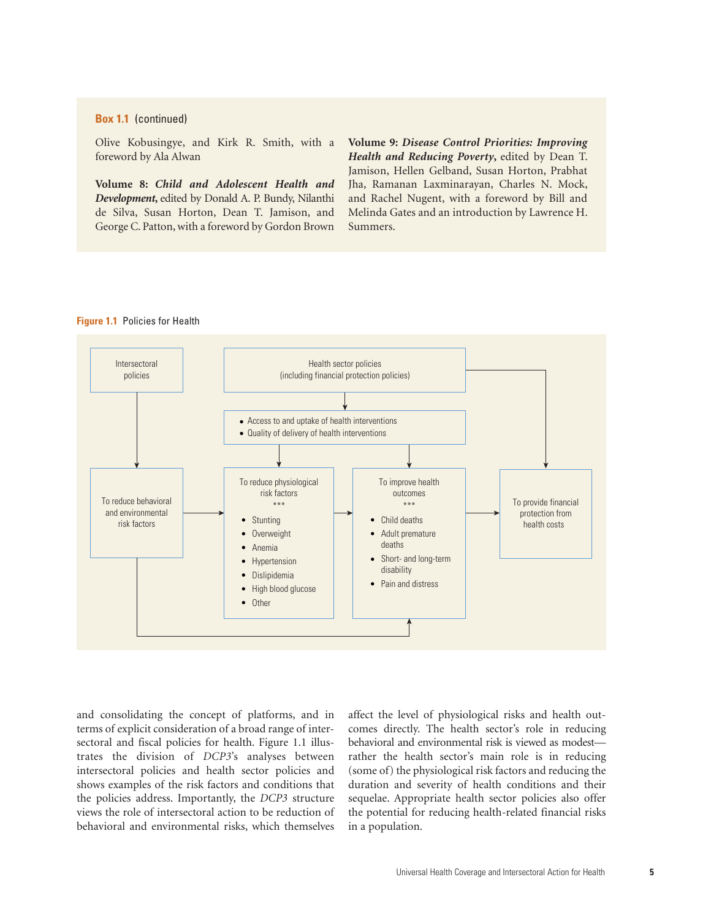#### **Box 1.1** (continued)

Olive Kobusingye, and Kirk R. Smith, with a foreword by Ala Alwan

**Volume 8:** *Child and Adolescent Health and Development***,** edited by Donald A. P. Bundy, Nilanthi de Silva, Susan Horton, Dean T. Jamison, and George C. Patton, with a foreword by Gordon Brown **Volume 9:** *Disease Control Priorities: Improving Health and Reducing Poverty***,** edited by Dean T. Jamison, Hellen Gelband, Susan Horton, Prabhat Jha, Ramanan Laxminarayan, Charles N. Mock, and Rachel Nugent, with a foreword by Bill and Melinda Gates and an introduction by Lawrence H. Summers.

#### **Figure 1.1** Policies for Health



and consolidating the concept of platforms, and in terms of explicit consideration of a broad range of intersectoral and fiscal policies for health. Figure 1.1 illustrates the division of *DCP3*'s analyses between intersectoral policies and health sector policies and shows examples of the risk factors and conditions that the policies address. Importantly, the *DCP3* structure views the role of intersectoral action to be reduction of behavioral and environmental risks, which themselves affect the level of physiological risks and health outcomes directly. The health sector's role in reducing behavioral and environmental risk is viewed as modest rather the health sector's main role is in reducing (some of) the physiological risk factors and reducing the duration and severity of health conditions and their sequelae. Appropriate health sector policies also offer the potential for reducing health-related financial risks in a population.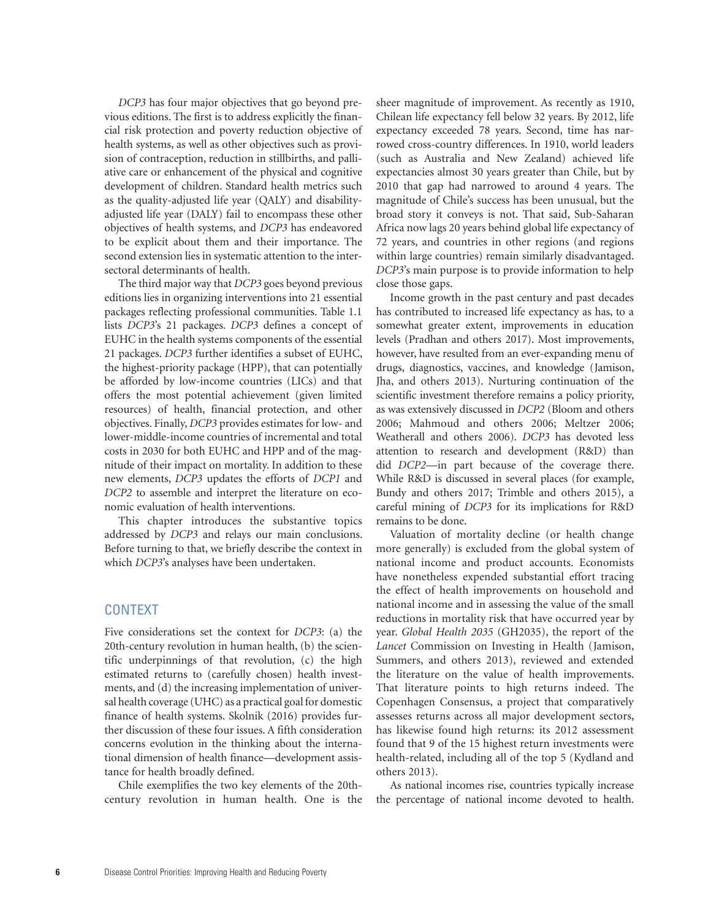*DCP3* has four major objectives that go beyond previous editions. The first is to address explicitly the financial risk protection and poverty reduction objective of health systems, as well as other objectives such as provision of contraception, reduction in stillbirths, and palliative care or enhancement of the physical and cognitive development of children. Standard health metrics such as the quality-adjusted life year (QALY) and disabilityadjusted life year (DALY) fail to encompass these other objectives of health systems, and *DCP3* has endeavored to be explicit about them and their importance. The second extension lies in systematic attention to the intersectoral determinants of health.

The third major way that *DCP3* goes beyond previous editions lies in organizing interventions into 21 essential packages reflecting professional communities. Table 1.1 lists *DCP3*'s 21 packages. *DCP3* defines a concept of EUHC in the health systems components of the essential 21 packages. *DCP3* further identifies a subset of EUHC, the highest-priority package (HPP), that can potentially be afforded by low-income countries (LICs) and that offers the most potential achievement (given limited resources) of health, financial protection, and other objectives. Finally, *DCP3* provides estimates for low- and lower-middle- income countries of incremental and total costs in 2030 for both EUHC and HPP and of the magnitude of their impact on mortality. In addition to these new elements, *DCP3* updates the efforts of *DCP1* and *DCP2* to assemble and interpret the literature on economic evaluation of health interventions.

This chapter introduces the substantive topics addressed by *DCP3* and relays our main conclusions. Before turning to that, we briefly describe the context in which *DCP3*'s analyses have been undertaken.

## CONTEXT

Five considerations set the context for *DCP3*: (a) the 20th-century revolution in human health, (b) the scientific underpinnings of that revolution, (c) the high estimated returns to (carefully chosen) health investments, and (d) the increasing implementation of universal health coverage (UHC) as a practical goal for domestic finance of health systems. Skolnik (2016) provides further discussion of these four issues. A fifth consideration concerns evolution in the thinking about the international dimension of health finance—development assistance for health broadly defined.

Chile exemplifies the two key elements of the 20thcentury revolution in human health. One is the sheer magnitude of improvement. As recently as 1910, Chilean life expectancy fell below 32 years. By 2012, life expectancy exceeded 78 years. Second, time has narrowed cross-country differences. In 1910, world leaders (such as Australia and New Zealand) achieved life expectancies almost 30 years greater than Chile, but by 2010 that gap had narrowed to around 4 years. The magnitude of Chile's success has been unusual, but the broad story it conveys is not. That said, Sub-Saharan Africa now lags 20 years behind global life expectancy of 72 years, and countries in other regions (and regions within large countries) remain similarly disadvantaged. *DCP3*'s main purpose is to provide information to help close those gaps.

Income growth in the past century and past decades has contributed to increased life expectancy as has, to a somewhat greater extent, improvements in education levels (Pradhan and others 2017). Most improvements, however, have resulted from an ever-expanding menu of drugs, diagnostics, vaccines, and knowledge (Jamison, Jha, and others 2013). Nurturing continuation of the scientific investment therefore remains a policy priority, as was extensively discussed in *DCP2* (Bloom and others 2006; Mahmoud and others 2006; Meltzer 2006; Weatherall and others 2006). *DCP3* has devoted less attention to research and development (R&D) than did *DCP2*—in part because of the coverage there. While R&D is discussed in several places (for example, Bundy and others 2017; Trimble and others 2015), a careful mining of *DCP3* for its implications for R&D remains to be done.

Valuation of mortality decline (or health change more generally) is excluded from the global system of national income and product accounts. Economists have nonetheless expended substantial effort tracing the effect of health improvements on household and national income and in assessing the value of the small reductions in mortality risk that have occurred year by year. *Global Health 2035* (GH2035), the report of the *Lancet* Commission on Investing in Health (Jamison, Summers, and others 2013), reviewed and extended the literature on the value of health improvements. That literature points to high returns indeed. The Copenhagen Consensus, a project that comparatively assesses returns across all major development sectors, has likewise found high returns: its 2012 assessment found that 9 of the 15 highest return investments were health-related, including all of the top 5 (Kydland and others 2013).

As national incomes rise, countries typically increase the percentage of national income devoted to health.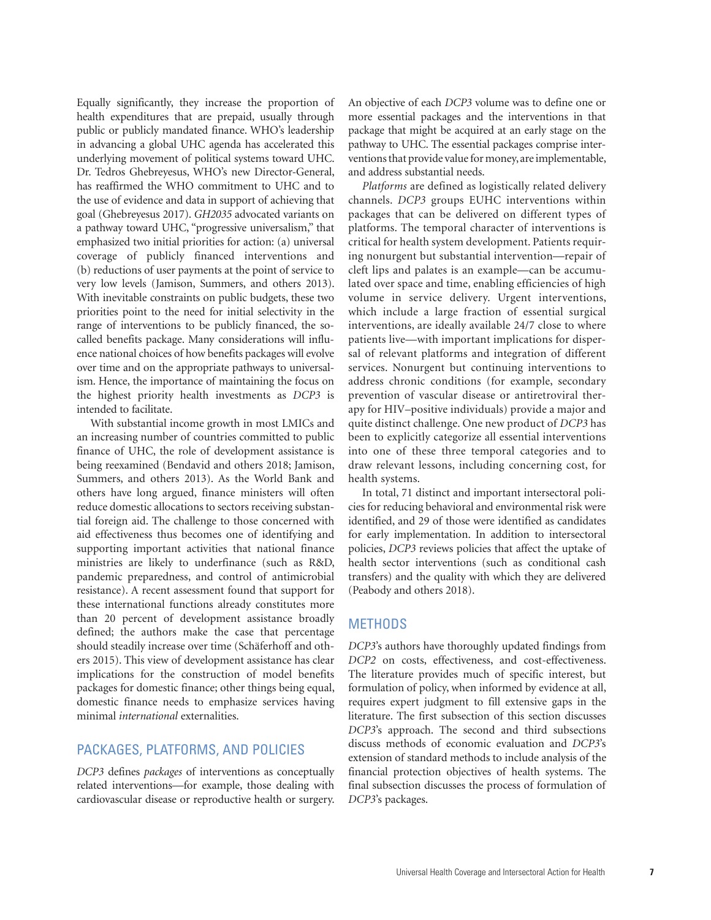Equally significantly, they increase the proportion of health expenditures that are prepaid, usually through public or publicly mandated finance. WHO's leadership in advancing a global UHC agenda has accelerated this underlying movement of political systems toward UHC. Dr. Tedros Ghebreyesus, WHO's new Director-General, has reaffirmed the WHO commitment to UHC and to the use of evidence and data in support of achieving that goal (Ghebreyesus 2017). *GH2035* advocated variants on a pathway toward UHC, "progressive universalism," that emphasized two initial priorities for action: (a) universal coverage of publicly financed interventions and (b) reductions of user payments at the point of service to very low levels (Jamison, Summers, and others 2013). With inevitable constraints on public budgets, these two priorities point to the need for initial selectivity in the range of interventions to be publicly financed, the socalled benefits package. Many considerations will influence national choices of how benefits packages will evolve over time and on the appropriate pathways to universalism. Hence, the importance of maintaining the focus on the highest priority health investments as *DCP3* is intended to facilitate.

With substantial income growth in most LMICs and an increasing number of countries committed to public finance of UHC, the role of development assistance is being reexamined (Bendavid and others 2018; Jamison, Summers, and others 2013). As the World Bank and others have long argued, finance ministers will often reduce domestic allocations to sectors receiving substantial foreign aid. The challenge to those concerned with aid effectiveness thus becomes one of identifying and supporting important activities that national finance ministries are likely to underfinance (such as R&D, pandemic preparedness, and control of antimicrobial resistance). A recent assessment found that support for these international functions already constitutes more than 20 percent of development assistance broadly defined; the authors make the case that percentage should steadily increase over time (Schäferhoff and others 2015). This view of development assistance has clear implications for the construction of model benefits packages for domestic finance; other things being equal, domestic finance needs to emphasize services having minimal *international* externalities.

# PACKAGES, PLATFORMS, AND POLICIES

*DCP3* defines *packages* of interventions as conceptually related interventions—for example, those dealing with cardiovascular disease or reproductive health or surgery. An objective of each *DCP3* volume was to define one or more essential packages and the interventions in that package that might be acquired at an early stage on the pathway to UHC. The essential packages comprise interventions that provide value for money, are implementable, and address substantial needs.

*Platforms* are defined as logistically related delivery channels. *DCP3* groups EUHC interventions within packages that can be delivered on different types of platforms. The temporal character of interventions is critical for health system development. Patients requiring nonurgent but substantial intervention—repair of cleft lips and palates is an example—can be accumulated over space and time, enabling efficiencies of high volume in service delivery. Urgent interventions, which include a large fraction of essential surgical interventions, are ideally available 24/7 close to where patients live—with important implications for dispersal of relevant platforms and integration of different services. Nonurgent but continuing interventions to address chronic conditions (for example, secondary prevention of vascular disease or antiretroviral therapy for HIV-positive individuals) provide a major and quite distinct challenge. One new product of *DCP3* has been to explicitly categorize all essential interventions into one of these three temporal categories and to draw relevant lessons, including concerning cost, for health systems.

In total, 71 distinct and important intersectoral policies for reducing behavioral and environmental risk were identified, and 29 of those were identified as candidates for early implementation. In addition to intersectoral policies, *DCP3* reviews policies that affect the uptake of health sector interventions (such as conditional cash transfers) and the quality with which they are delivered (Peabody and others 2018).

## **METHODS**

*DCP3*'s authors have thoroughly updated findings from *DCP2* on costs, effectiveness, and cost-effectiveness. The literature provides much of specific interest, but formulation of policy, when informed by evidence at all, requires expert judgment to fill extensive gaps in the literature. The first subsection of this section discusses *DCP3*'s approach. The second and third subsections discuss methods of economic evaluation and *DCP3*'s extension of standard methods to include analysis of the financial protection objectives of health systems. The final subsection discusses the process of formulation of *DCP3*'s packages.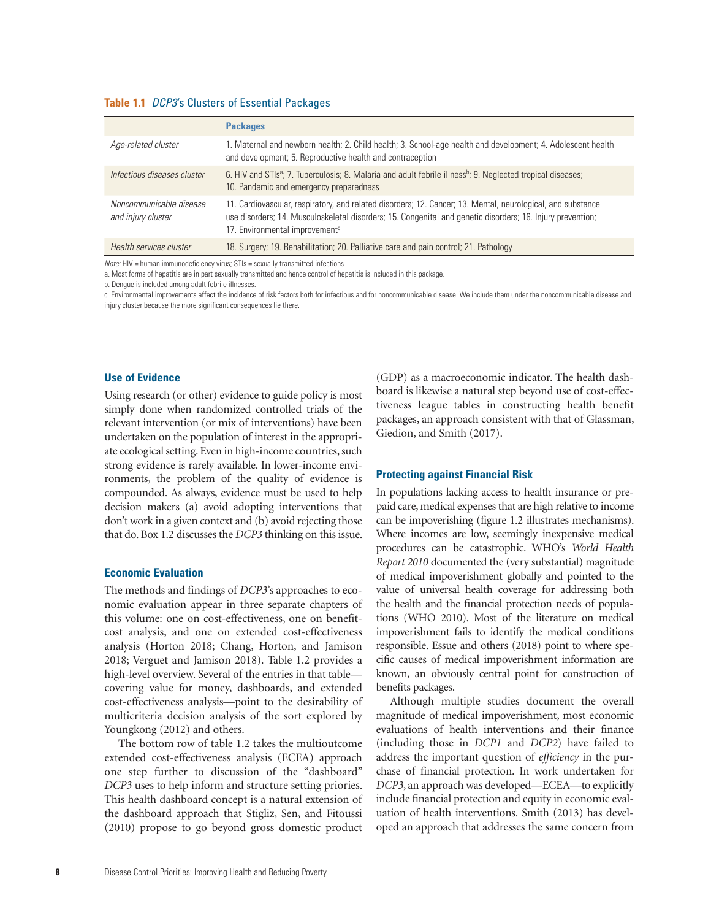### **Table 1.1** DCP3's Clusters of Essential Packages

|                                               | <b>Packages</b>                                                                                                                                                                                                                                                         |
|-----------------------------------------------|-------------------------------------------------------------------------------------------------------------------------------------------------------------------------------------------------------------------------------------------------------------------------|
| Age-related cluster                           | 1. Maternal and newborn health; 2. Child health; 3. School-age health and development; 4. Adolescent health<br>and development; 5. Reproductive health and contraception                                                                                                |
| Infectious diseases cluster                   | 6. HIV and STIs <sup>a</sup> ; 7. Tuberculosis; 8. Malaria and adult febrile illness <sup>b</sup> ; 9. Neglected tropical diseases;<br>10. Pandemic and emergency preparedness                                                                                          |
| Noncommunicable disease<br>and injury cluster | 11. Cardiovascular, respiratory, and related disorders; 12. Cancer; 13. Mental, neurological, and substance<br>use disorders; 14. Musculoskeletal disorders; 15. Congenital and genetic disorders; 16. Injury prevention;<br>17. Environmental improvement <sup>c</sup> |
| Health services cluster                       | 18. Surgery; 19. Rehabilitation; 20. Palliative care and pain control; 21. Pathology                                                                                                                                                                                    |

 $Note: HIV = human immunodeficiency virus; STIs = sexually transmitted infections.$ 

a. Most forms of hepatitis are in part sexually transmitted and hence control of hepatitis is included in this package.

b. Dengue is included among adult febrile illnesses.

c. Environmental improvements affect the incidence of risk factors both for infectious and for noncommunicable disease. We include them under the noncommunicable disease and injury cluster because the more significant consequences lie there.

#### **Use of Evidence**

Using research (or other) evidence to guide policy is most simply done when randomized controlled trials of the relevant intervention (or mix of interventions) have been undertaken on the population of interest in the appropriate ecological setting. Even in high-income countries, such strong evidence is rarely available. In lower-income environments, the problem of the quality of evidence is compounded. As always, evidence must be used to help decision makers (a) avoid adopting interventions that don't work in a given context and (b) avoid rejecting those that do. Box 1.2 discusses the *DCP3* thinking on this issue.

#### **Economic Evaluation**

The methods and findings of *DCP3*'s approaches to economic evaluation appear in three separate chapters of this volume: one on cost-effectiveness, one on benefitcost analysis, and one on extended cost-effectiveness analysis (Horton 2018; Chang, Horton, and Jamison 2018; Verguet and Jamison 2018). Table 1.2 provides a high-level overview. Several of the entries in that table covering value for money, dashboards, and extended cost-effectiveness analysis—point to the desirability of multicriteria decision analysis of the sort explored by Youngkong (2012) and others.

The bottom row of table 1.2 takes the multioutcome extended cost-effectiveness analysis (ECEA) approach one step further to discussion of the "dashboard" *DCP3* uses to help inform and structure setting priories. This health dashboard concept is a natural extension of the dashboard approach that Stigliz, Sen, and Fitoussi (2010) propose to go beyond gross domestic product (GDP) as a macroeconomic indicator. The health dashboard is likewise a natural step beyond use of cost-effectiveness league tables in constructing health benefit packages, an approach consistent with that of Glassman, Giedion, and Smith (2017).

#### **Protecting against Financial Risk**

In populations lacking access to health insurance or prepaid care, medical expenses that are high relative to income can be impoverishing (figure 1.2 illustrates mechanisms). Where incomes are low, seemingly inexpensive medical procedures can be catastrophic. WHO's *World Health Report 2010* documented the (very substantial) magnitude of medical impoverishment globally and pointed to the value of universal health coverage for addressing both the health and the financial protection needs of populations (WHO 2010). Most of the literature on medical impoverishment fails to identify the medical conditions responsible. Essue and others (2018) point to where specific causes of medical impoverishment information are known, an obviously central point for construction of benefits packages.

Although multiple studies document the overall magnitude of medical impoverishment, most economic evaluations of health interventions and their finance (including those in *DCP1* and *DCP2*) have failed to address the important question of *efficiency* in the purchase of financial protection. In work undertaken for *DCP3*, an approach was developed—ECEA—to explicitly include financial protection and equity in economic evaluation of health interventions. Smith (2013) has developed an approach that addresses the same concern from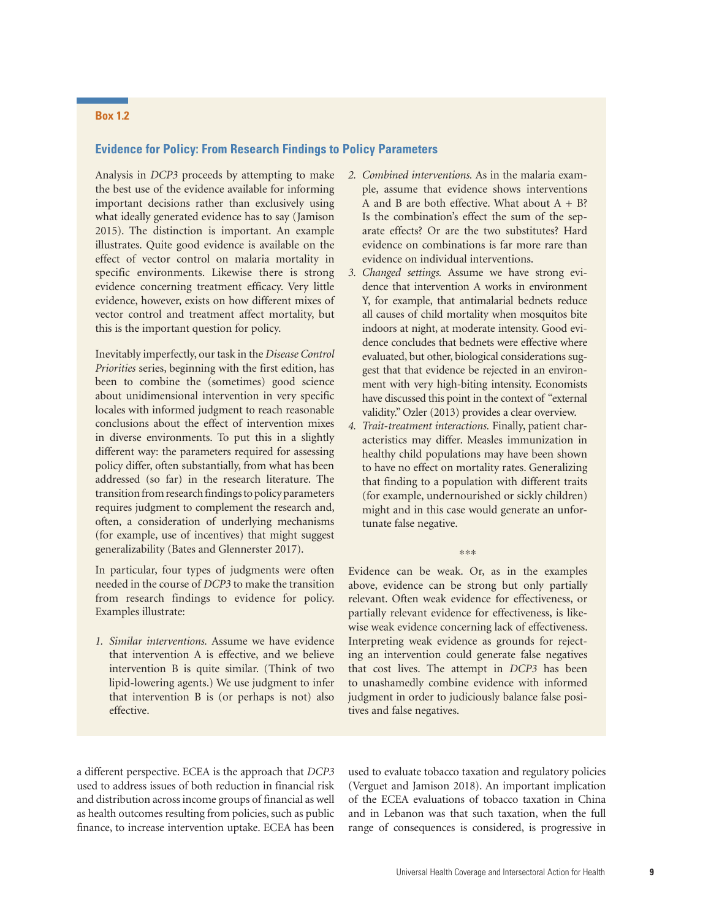## **Box 1.2**

#### **Evidence for Policy: From Research Findings to Policy Parameters**

Analysis in *DCP3* proceeds by attempting to make the best use of the evidence available for informing important decisions rather than exclusively using what ideally generated evidence has to say (Jamison 2015). The distinction is important. An example illustrates. Quite good evidence is available on the effect of vector control on malaria mortality in specific environments. Likewise there is strong evidence concerning treatment efficacy. Very little evidence, however, exists on how different mixes of vector control and treatment affect mortality, but this is the important question for policy.

Inevitably imperfectly, our task in the *Disease Control Priorities* series, beginning with the first edition, has been to combine the (sometimes) good science about unidimensional intervention in very specific locales with informed judgment to reach reasonable conclusions about the effect of intervention mixes in diverse environments. To put this in a slightly different way: the parameters required for assessing policy differ, often substantially, from what has been addressed (so far) in the research literature. The transition from research findings to policy parameters requires judgment to complement the research and, often, a consideration of underlying mechanisms (for example, use of incentives) that might suggest generalizability (Bates and Glennerster 2017).

In particular, four types of judgments were often needed in the course of *DCP3* to make the transition from research findings to evidence for policy. Examples illustrate:

*1. Similar interventions.* Assume we have evidence that intervention A is effective, and we believe intervention B is quite similar. (Think of two lipid-lowering agents.) We use judgment to infer that intervention B is (or perhaps is not) also effective.

- *2. Combined interventions.* As in the malaria example, assume that evidence shows interventions A and B are both effective. What about  $A + B$ ? Is the combination's effect the sum of the separate effects? Or are the two substitutes? Hard evidence on combinations is far more rare than evidence on individual interventions.
- *3. Changed settings.* Assume we have strong evidence that intervention A works in environment Y, for example, that antimalarial bednets reduce all causes of child mortality when mosquitos bite indoors at night, at moderate intensity. Good evidence concludes that bednets were effective where evaluated, but other, biological considerations suggest that that evidence be rejected in an environment with very high-biting intensity. Economists have discussed this point in the context of "external validity." Ozler (2013) provides a clear overview.
- *4. Trait-treatment interactions.* Finally, patient characteristics may differ. Measles immunization in healthy child populations may have been shown to have no effect on mortality rates. Generalizing that finding to a population with different traits (for example, undernourished or sickly children) might and in this case would generate an unfortunate false negative.

#### ∗∗∗

Evidence can be weak. Or, as in the examples above, evidence can be strong but only partially relevant. Often weak evidence for effectiveness, or partially relevant evidence for effectiveness, is likewise weak evidence concerning lack of effectiveness. Interpreting weak evidence as grounds for rejecting an intervention could generate false negatives that cost lives. The attempt in *DCP3* has been to unashamedly combine evidence with informed judgment in order to judiciously balance false positives and false negatives.

a different perspective. ECEA is the approach that *DCP3* used to address issues of both reduction in financial risk and distribution across income groups of financial as well as health outcomes resulting from policies, such as public finance, to increase intervention uptake. ECEA has been

used to evaluate tobacco taxation and regulatory policies (Verguet and Jamison 2018). An important implication of the ECEA evaluations of tobacco taxation in China and in Lebanon was that such taxation, when the full range of consequences is considered, is progressive in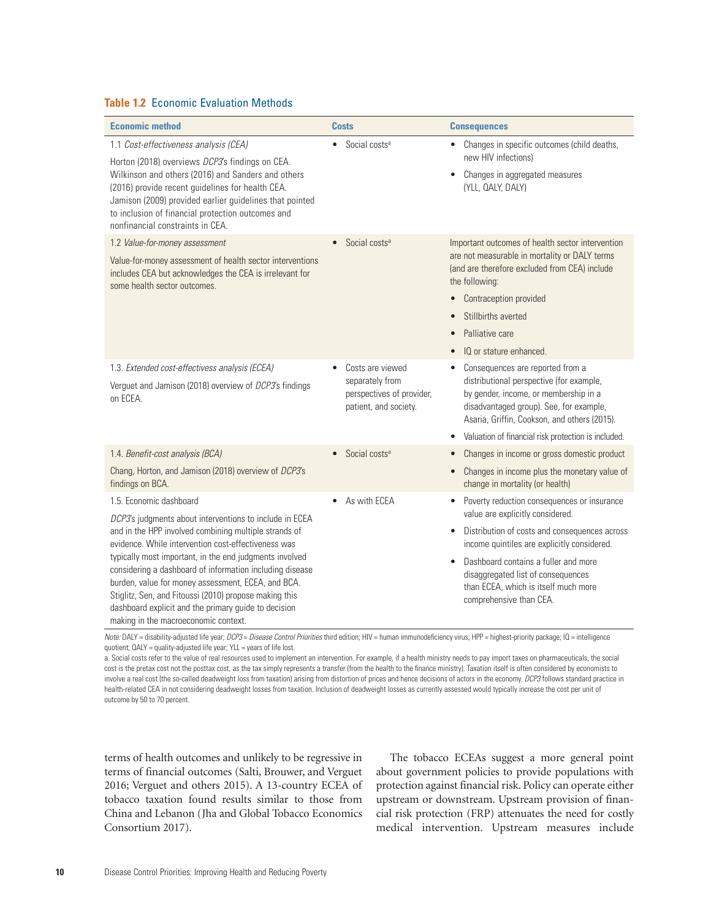## **Table 1.2** Economic Evaluation Methods

| <b>Economic method</b>                                                                                                                                                                                                                                                                                                                                                                                                                                                                                                                    | <b>Costs</b>                                                                              | <b>Consequences</b>                                                                                                                                                                                                                                                                                                                           |
|-------------------------------------------------------------------------------------------------------------------------------------------------------------------------------------------------------------------------------------------------------------------------------------------------------------------------------------------------------------------------------------------------------------------------------------------------------------------------------------------------------------------------------------------|-------------------------------------------------------------------------------------------|-----------------------------------------------------------------------------------------------------------------------------------------------------------------------------------------------------------------------------------------------------------------------------------------------------------------------------------------------|
| 1.1 Cost-effectiveness analysis (CEA)<br>Horton (2018) overviews DCP3's findings on CEA.<br>Wilkinson and others (2016) and Sanders and others<br>(2016) provide recent guidelines for health CEA.<br>Jamison (2009) provided earlier guidelines that pointed<br>to inclusion of financial protection outcomes and<br>nonfinancial constraints in CEA.                                                                                                                                                                                    | • Social costs <sup>a</sup>                                                               | Changes in specific outcomes (child deaths,<br>$\bullet$<br>new HIV infections)<br>Changes in aggregated measures<br>$\bullet$<br>(YLL, QALY, DALY)                                                                                                                                                                                           |
| 1.2 Value-for-money assessment<br>Value-for-money assessment of health sector interventions<br>includes CEA but acknowledges the CEA is irrelevant for<br>some health sector outcomes.                                                                                                                                                                                                                                                                                                                                                    | Social costs <sup>a</sup>                                                                 | Important outcomes of health sector intervention<br>are not measurable in mortality or DALY terms<br>(and are therefore excluded from CEA) include<br>the following:<br>Contraception provided<br>$\bullet$<br>Stillbirths averted<br>Palliative care<br>IQ or stature enhanced.                                                              |
| 1.3. Extended cost-effectivess analysis (ECEA)<br>Verguet and Jamison (2018) overview of DCP3's findings<br>on ECEA.                                                                                                                                                                                                                                                                                                                                                                                                                      | Costs are viewed<br>separately from<br>perspectives of provider,<br>patient, and society. | Consequences are reported from a<br>distributional perspective (for example,<br>by gender, income, or membership in a<br>disadvantaged group). See, for example,<br>Asaria, Griffin, Cookson, and others (2015).<br>Valuation of financial risk protection is included.<br>$\bullet$                                                          |
| 1.4. Benefit-cost analysis (BCA)<br>Chang, Horton, and Jamison (2018) overview of DCP3's<br>findings on BCA.                                                                                                                                                                                                                                                                                                                                                                                                                              | Social costs <sup>a</sup>                                                                 | Changes in income or gross domestic product<br>Changes in income plus the monetary value of<br>change in mortality (or health)                                                                                                                                                                                                                |
| 1.5. Economic dashboard<br>DCP3's judgments about interventions to include in ECEA<br>and in the HPP involved combining multiple strands of<br>evidence. While intervention cost-effectiveness was<br>typically most important, in the end judgments involved<br>considering a dashboard of information including disease<br>burden, value for money assessment, ECEA, and BCA.<br>Stiglitz, Sen, and Fitoussi (2010) propose making this<br>dashboard explicit and the primary guide to decision<br>making in the macroeconomic context. | As with ECEA                                                                              | Poverty reduction consequences or insurance<br>value are explicitly considered.<br>Distribution of costs and consequences across<br>$\bullet$<br>income quintiles are explicitly considered.<br>Dashboard contains a fuller and more<br>disaggregated list of consequences<br>than ECEA, which is itself much more<br>comprehensive than CEA. |

Note: DALY = disability-adjusted life year; DCP3 = Disease Control Priorities third edition; HIV = human immunodeficiency virus; HPP = highest-priority package; IQ = intelligence quotient; QALY = quality-adjusted life year; YLL = years of life lost.

a. Social costs refer to the value of real resources used to implement an intervention. For example, if a health ministry needs to pay import taxes on pharmaceuticals, the social cost is the pretax cost not the posttax cost, as the tax simply represents a transfer (from the health to the finance ministry). Taxation itself is often considered by economists to involve a real cost (the so-called deadweight loss from taxation) arising from distortion of prices and hence decisions of actors in the economy. DCP3 follows standard practice in health-related CEA in not considering deadweight losses from taxation. Inclusion of deadweight losses as currently assessed would typically increase the cost per unit of outcome by 50 to 70 percent.

terms of health outcomes and unlikely to be regressive in terms of financial outcomes (Salti, Brouwer, and Verguet 2016; Verguet and others 2015). A 13-country ECEA of tobacco taxation found results similar to those from China and Lebanon (Jha and Global Tobacco Economics Consortium 2017).

The tobacco ECEAs suggest a more general point about government policies to provide populations with protection against financial risk. Policy can operate either upstream or downstream. Upstream provision of financial risk protection (FRP) attenuates the need for costly medical intervention. Upstream measures include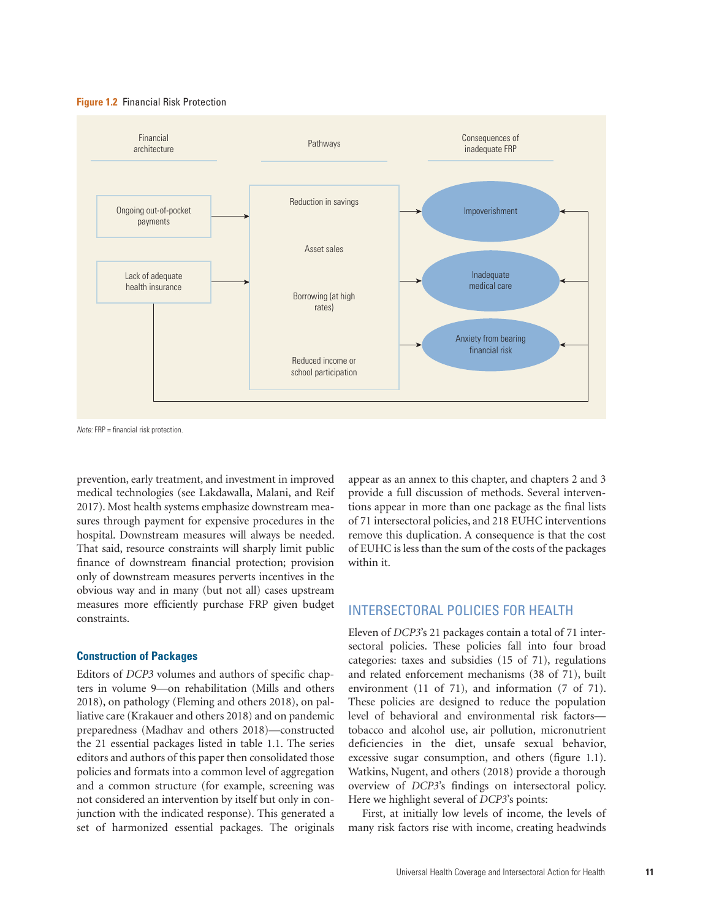#### **Figure 1.2** Financial Risk Protection



Note: FRP = financial risk protection.

prevention, early treatment, and investment in improved medical technologies (see Lakdawalla, Malani, and Reif 2017). Most health systems emphasize downstream measures through payment for expensive procedures in the hospital. Downstream measures will always be needed. That said, resource constraints will sharply limit public finance of downstream financial protection; provision only of downstream measures perverts incentives in the obvious way and in many (but not all) cases upstream measures more efficiently purchase FRP given budget constraints.

#### **Construction of Packages**

Editors of *DCP3* volumes and authors of specific chapters in volume 9—on rehabilitation (Mills and others 2018), on pathology (Fleming and others 2018), on palliative care (Krakauer and others 2018) and on pandemic preparedness (Madhav and others 2018)—constructed the 21 essential packages listed in table 1.1. The series editors and authors of this paper then consolidated those policies and formats into a common level of aggregation and a common structure (for example, screening was not considered an intervention by itself but only in conjunction with the indicated response). This generated a set of harmonized essential packages. The originals

appear as an annex to this chapter, and chapters 2 and 3 provide a full discussion of methods. Several interventions appear in more than one package as the final lists of 71 intersectoral policies, and 218 EUHC interventions remove this duplication. A consequence is that the cost of EUHC is less than the sum of the costs of the packages within it.

## INTERSECTORAL POLICIES FOR HEALTH

Eleven of *DCP3*'s 21 packages contain a total of 71 intersectoral policies. These policies fall into four broad categories: taxes and subsidies (15 of 71), regulations and related enforcement mechanisms (38 of 71), built environment (11 of 71), and information (7 of 71). These policies are designed to reduce the population level of behavioral and environmental risk factors tobacco and alcohol use, air pollution, micronutrient deficiencies in the diet, unsafe sexual behavior, excessive sugar consumption, and others (figure 1.1). Watkins, Nugent, and others (2018) provide a thorough overview of *DCP3*'s findings on intersectoral policy. Here we highlight several of *DCP3*'s points:

First, at initially low levels of income, the levels of many risk factors rise with income, creating headwinds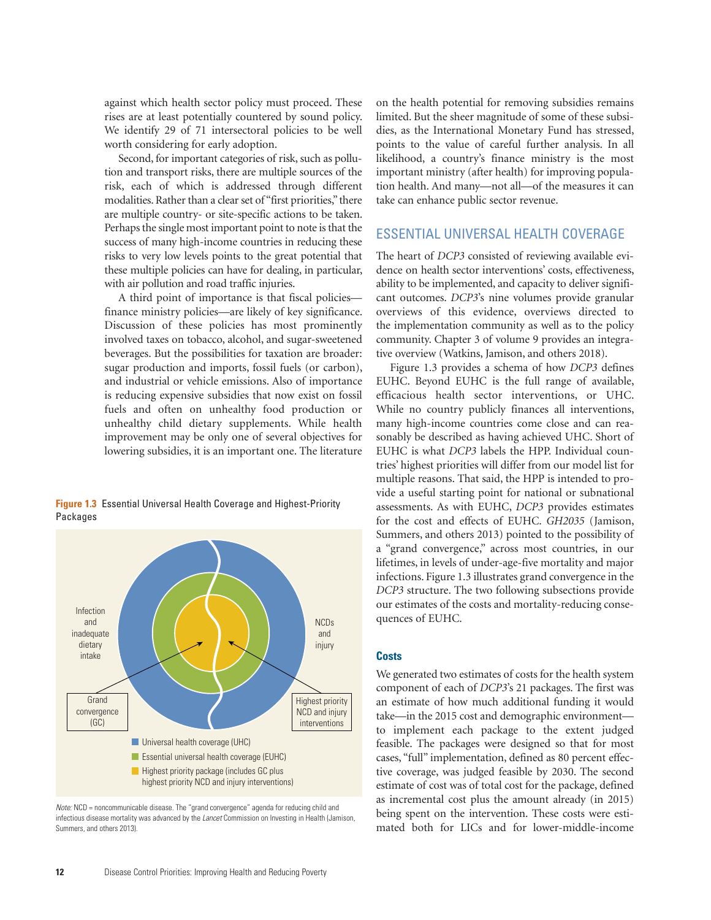against which health sector policy must proceed. These rises are at least potentially countered by sound policy. We identify 29 of 71 intersectoral policies to be well worth considering for early adoption.

Second, for important categories of risk, such as pollution and transport risks, there are multiple sources of the risk, each of which is addressed through different modalities. Rather than a clear set of "first priorities," there are multiple country- or site-specific actions to be taken. Perhaps the single most important point to note is that the success of many high-income countries in reducing these risks to very low levels points to the great potential that these multiple policies can have for dealing, in particular, with air pollution and road traffic injuries.

A third point of importance is that fiscal policies finance ministry policies—are likely of key significance. Discussion of these policies has most prominently involved taxes on tobacco, alcohol, and sugar-sweetened beverages. But the possibilities for taxation are broader: sugar production and imports, fossil fuels (or carbon), and industrial or vehicle emissions. Also of importance is reducing expensive subsidies that now exist on fossil fuels and often on unhealthy food production or unhealthy child dietary supplements. While health improvement may be only one of several objectives for lowering subsidies, it is an important one. The literature

**Figure 1.3** Essential Universal Health Coverage and Highest-Priority Packages



Note: NCD = noncommunicable disease. The "grand convergence" agenda for reducing child and infectious disease mortality was advanced by the Lancet Commission on Investing in Health (Jamison, Summers, and others 2013).

on the health potential for removing subsidies remains limited. But the sheer magnitude of some of these subsidies, as the International Monetary Fund has stressed, points to the value of careful further analysis. In all likelihood, a country's finance ministry is the most important ministry (after health) for improving population health. And many—not all—of the measures it can take can enhance public sector revenue.

## ESSENTIAL UNIVERSAL HEALTH COVERAGE

The heart of *DCP3* consisted of reviewing available evidence on health sector interventions' costs, effectiveness, ability to be implemented, and capacity to deliver significant outcomes. *DCP3*'s nine volumes provide granular overviews of this evidence, overviews directed to the implementation community as well as to the policy community. Chapter 3 of volume 9 provides an integrative overview (Watkins, Jamison, and others 2018).

Figure 1.3 provides a schema of how *DCP3* defines EUHC. Beyond EUHC is the full range of available, efficacious health sector interventions, or UHC. While no country publicly finances all interventions, many high-income countries come close and can reasonably be described as having achieved UHC. Short of EUHC is what *DCP3* labels the HPP. Individual countries' highest priorities will differ from our model list for multiple reasons. That said, the HPP is intended to provide a useful starting point for national or subnational assessments. As with EUHC, *DCP3* provides estimates for the cost and effects of EUHC. *GH2035* (Jamison, Summers, and others 2013) pointed to the possibility of a "grand convergence," across most countries, in our lifetimes, in levels of under-age-five mortality and major infections. Figure 1.3 illustrates grand convergence in the *DCP3* structure. The two following subsections provide our estimates of the costs and mortality-reducing consequences of EUHC.

#### **Costs**

We generated two estimates of costs for the health system component of each of *DCP3*'s 21 packages. The first was an estimate of how much additional funding it would take—in the 2015 cost and demographic environment to implement each package to the extent judged feasible. The packages were designed so that for most cases, "full" implementation, defined as 80 percent effective coverage, was judged feasible by 2030. The second estimate of cost was of total cost for the package, defined as incremental cost plus the amount already (in 2015) being spent on the intervention. These costs were estimated both for LICs and for lower-middle-income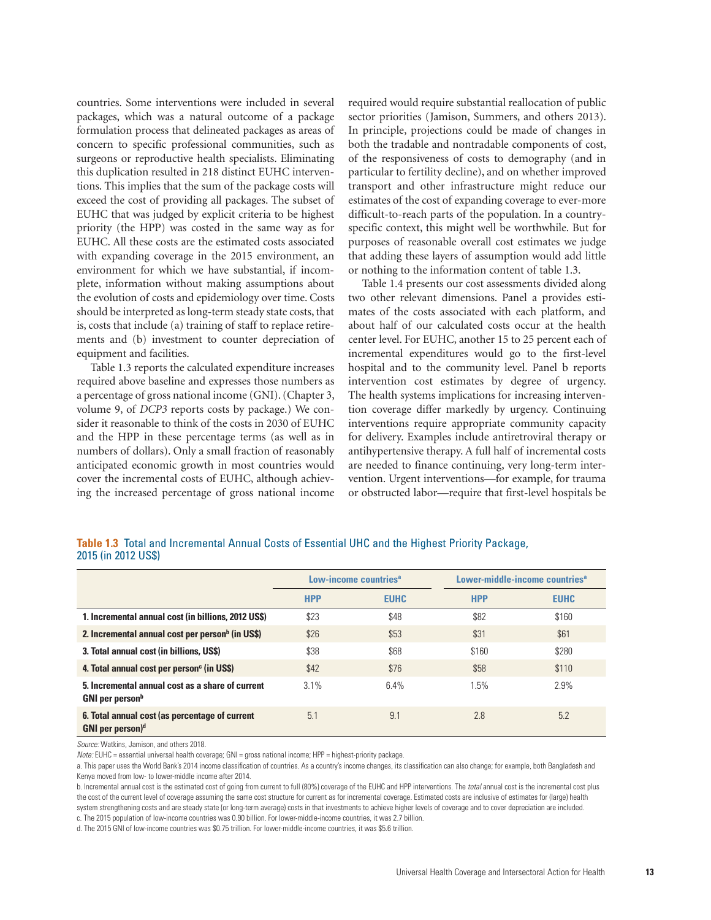countries. Some interventions were included in several packages, which was a natural outcome of a package formulation process that delineated packages as areas of concern to specific professional communities, such as surgeons or reproductive health specialists. Eliminating this duplication resulted in 218 distinct EUHC interventions. This implies that the sum of the package costs will exceed the cost of providing all packages. The subset of EUHC that was judged by explicit criteria to be highest priority (the HPP) was costed in the same way as for EUHC. All these costs are the estimated costs associated with expanding coverage in the 2015 environment, an environment for which we have substantial, if incomplete, information without making assumptions about the evolution of costs and epidemiology over time. Costs should be interpreted as long-term steady state costs, that is, costs that include (a) training of staff to replace retirements and (b) investment to counter depreciation of equipment and facilities.

Table 1.3 reports the calculated expenditure increases required above baseline and expresses those numbers as a percentage of gross national income (GNI). (Chapter 3, volume 9, of *DCP3* reports costs by package.) We consider it reasonable to think of the costs in 2030 of EUHC and the HPP in these percentage terms (as well as in numbers of dollars). Only a small fraction of reasonably anticipated economic growth in most countries would cover the incremental costs of EUHC, although achieving the increased percentage of gross national income required would require substantial reallocation of public sector priorities (Jamison, Summers, and others 2013). In principle, projections could be made of changes in both the tradable and nontradable components of cost, of the responsiveness of costs to demography (and in particular to fertility decline), and on whether improved transport and other infrastructure might reduce our estimates of the cost of expanding coverage to ever-more difficult-to-reach parts of the population. In a countryspecific context, this might well be worthwhile. But for purposes of reasonable overall cost estimates we judge that adding these layers of assumption would add little or nothing to the information content of table 1.3.

Table 1.4 presents our cost assessments divided along two other relevant dimensions. Panel a provides estimates of the costs associated with each platform, and about half of our calculated costs occur at the health center level. For EUHC, another 15 to 25 percent each of incremental expenditures would go to the first-level hospital and to the community level. Panel b reports intervention cost estimates by degree of urgency. The health systems implications for increasing intervention coverage differ markedly by urgency. Continuing interventions require appropriate community capacity for delivery. Examples include antiretroviral therapy or antihypertensive therapy. A full half of incremental costs are needed to finance continuing, very long-term intervention. Urgent interventions—for example, for trauma or obstructed labor—require that first-level hospitals be

**Table 1.3** Total and Incremental Annual Costs of Essential UHC and the Highest Priority Package, 2015 (in 2012 US\$)

|                                                                                        | Low-income countries <sup>a</sup> |             | Lower-middle-income countries <sup>a</sup> |             |
|----------------------------------------------------------------------------------------|-----------------------------------|-------------|--------------------------------------------|-------------|
|                                                                                        | <b>HPP</b>                        | <b>EUHC</b> | <b>HPP</b>                                 | <b>EUHC</b> |
| 1. Incremental annual cost (in billions, 2012 US\$)                                    | \$23                              | \$48        | \$82                                       | \$160       |
| 2. Incremental annual cost per person <sup>b</sup> (in US\$)                           | \$26                              | \$53        | \$31                                       | \$61        |
| 3. Total annual cost (in billions, US\$)                                               | \$38                              | \$68        | \$160                                      | \$280       |
| 4. Total annual cost per person <sup>c</sup> (in US\$)                                 | \$42                              | \$76        | \$58                                       | \$110       |
| 5. Incremental annual cost as a share of current<br><b>GNI</b> per person <sup>b</sup> | $3.1\%$                           | 6.4%        | 1.5%                                       | 2.9%        |
| 6. Total annual cost (as percentage of current<br><b>GNI per person)</b> <sup>d</sup>  | 5.1                               | 9.1         | 2.8                                        | 5.2         |

Source: Watkins, Jamison, and others 2018.

Note: EUHC = essential universal health coverage; GNI = gross national income; HPP = highest-priority package.

a. This paper uses the World Bank's 2014 income classification of countries. As a country's income changes, its classification can also change; for example, both Bangladesh and Kenya moved from low- to lower-middle income after 2014.

b. Incremental annual cost is the estimated cost of going from current to full (80%) coverage of the EUHC and HPP interventions. The total annual cost is the incremental cost plus the cost of the current level of coverage assuming the same cost structure for current as for incremental coverage. Estimated costs are inclusive of estimates for (large) health system strengthening costs and are steady state (or long-term average) costs in that investments to achieve higher levels of coverage and to cover depreciation are included. c. The 2015 population of low-income countries was 0.90 billion. For lower-middle-income countries, it was 2.7 billion.

d. The 2015 GNI of low-income countries was \$0.75 trillion. For lower-middle-income countries, it was \$5.6 trillion.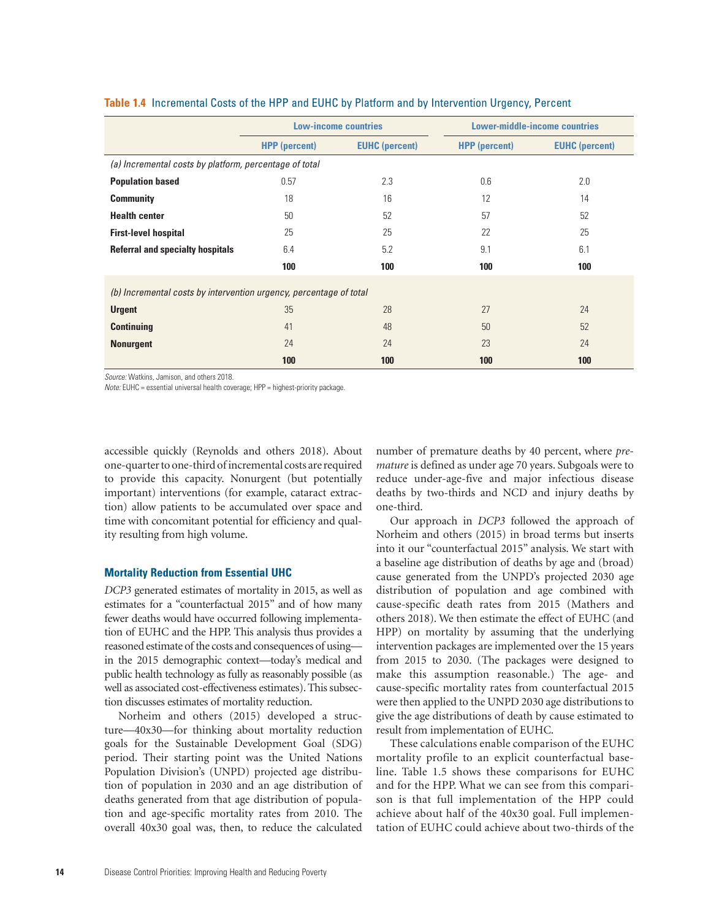|                                                                    | <b>Low-income countries</b> |                       |                      | <b>Lower-middle-income countries</b> |  |
|--------------------------------------------------------------------|-----------------------------|-----------------------|----------------------|--------------------------------------|--|
|                                                                    | <b>HPP</b> (percent)        | <b>EUHC (percent)</b> | <b>HPP</b> (percent) | <b>EUHC</b> (percent)                |  |
| (a) Incremental costs by platform, percentage of total             |                             |                       |                      |                                      |  |
| <b>Population based</b>                                            | 0.57                        | 2.3                   | 0.6                  | 2.0                                  |  |
| <b>Community</b>                                                   | 18                          | 16                    | 12                   | 14                                   |  |
| <b>Health center</b>                                               | 50                          | 52                    | 57                   | 52                                   |  |
| <b>First-level hospital</b>                                        | 25                          | 25                    | 22                   | 25                                   |  |
| <b>Referral and specialty hospitals</b>                            | 6.4                         | 5.2                   | 9.1                  | 6.1                                  |  |
|                                                                    | 100                         | 100                   | 100                  | 100                                  |  |
| (b) Incremental costs by intervention urgency, percentage of total |                             |                       |                      |                                      |  |
| <b>Urgent</b>                                                      | 35                          | 28                    | 27                   | 24                                   |  |
| <b>Continuing</b>                                                  | 41                          | 48                    | 50                   | 52                                   |  |
| <b>Nonurgent</b>                                                   | 24                          | 24                    | 23                   | 24                                   |  |
|                                                                    | 100                         | 100                   | 100                  | 100                                  |  |

### **Table 1.4** Incremental Costs of the HPP and EUHC by Platform and by Intervention Urgency, Percent

Source: Watkins, Jamison, and others 2018.

Note: EUHC = essential universal health coverage: HPP = highest-priority package.

accessible quickly (Reynolds and others 2018). About one-quarter to one-third of incremental costs are required to provide this capacity. Nonurgent (but potentially important) interventions (for example, cataract extraction) allow patients to be accumulated over space and time with concomitant potential for efficiency and quality resulting from high volume.

#### **Mortality Reduction from Essential UHC**

*DCP3* generated estimates of mortality in 2015, as well as estimates for a "counterfactual 2015" and of how many fewer deaths would have occurred following implementation of EUHC and the HPP. This analysis thus provides a reasoned estimate of the costs and consequences of using in the 2015 demographic context—today's medical and public health technology as fully as reasonably possible (as well as associated cost-effectiveness estimates). This subsection discusses estimates of mortality reduction.

Norheim and others (2015) developed a structure—40x30—for thinking about mortality reduction goals for the Sustainable Development Goal (SDG) period. Their starting point was the United Nations Population Division's (UNPD) projected age distribution of population in 2030 and an age distribution of deaths generated from that age distribution of population and age-specific mortality rates from 2010. The overall 40x30 goal was, then, to reduce the calculated

number of premature deaths by 40 percent, where *premature* is defined as under age 70 years. Subgoals were to reduce under-age-five and major infectious disease deaths by two-thirds and NCD and injury deaths by one-third.

Our approach in *DCP3* followed the approach of Norheim and others (2015) in broad terms but inserts into it our "counterfactual 2015" analysis. We start with a baseline age distribution of deaths by age and (broad) cause generated from the UNPD's projected 2030 age distribution of population and age combined with cause-specific death rates from 2015 (Mathers and others 2018). We then estimate the effect of EUHC (and HPP) on mortality by assuming that the underlying intervention packages are implemented over the 15 years from 2015 to 2030. (The packages were designed to make this assumption reasonable.) The age- and cause-specific mortality rates from counterfactual 2015 were then applied to the UNPD 2030 age distributions to give the age distributions of death by cause estimated to result from implementation of EUHC.

These calculations enable comparison of the EUHC mortality profile to an explicit counterfactual baseline. Table 1.5 shows these comparisons for EUHC and for the HPP. What we can see from this comparison is that full implementation of the HPP could achieve about half of the 40x30 goal. Full implementation of EUHC could achieve about two-thirds of the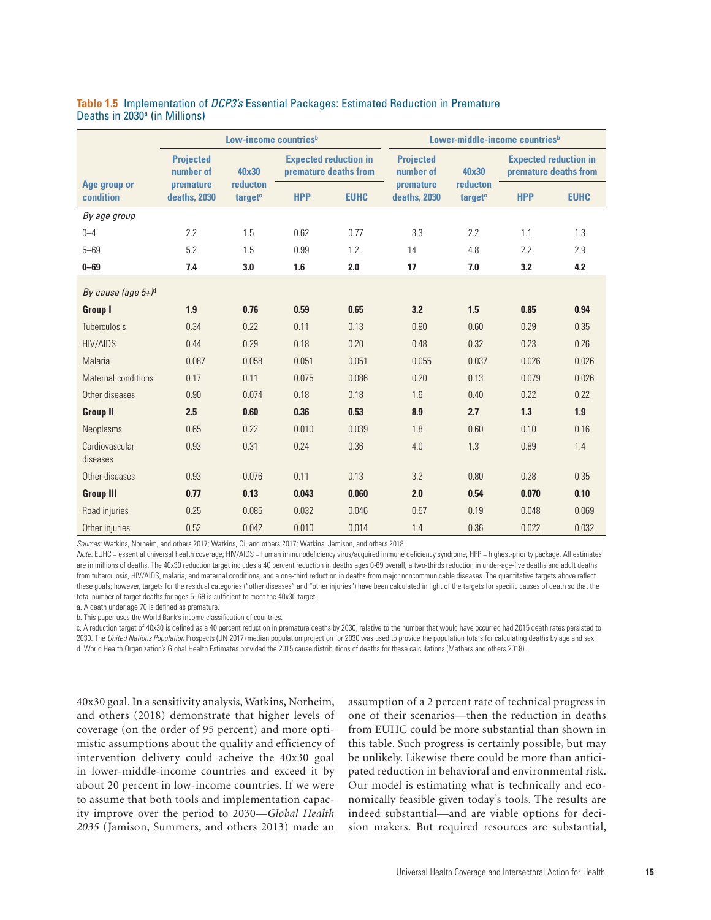|                                  | Low-income countries <sup>b</sup> |                                 |                       | Lower-middle-income countries <sup>b</sup> |                                  |                                 |                                                       |             |
|----------------------------------|-----------------------------------|---------------------------------|-----------------------|--------------------------------------------|----------------------------------|---------------------------------|-------------------------------------------------------|-------------|
|                                  | <b>Projected</b><br>number of     | 40×30                           | premature deaths from | <b>Expected reduction in</b>               | <b>Projected</b><br>number of    | 40×30                           | <b>Expected reduction in</b><br>premature deaths from |             |
| Age group or<br>condition        | premature<br>deaths, 2030         | reducton<br>target <sup>c</sup> | <b>HPP</b>            | <b>EUHC</b>                                | premature<br><b>deaths, 2030</b> | reducton<br>target <sup>c</sup> | <b>HPP</b>                                            | <b>EUHC</b> |
| By age group                     |                                   |                                 |                       |                                            |                                  |                                 |                                                       |             |
| $0 - 4$                          | 2.2                               | 1.5                             | 0.62                  | 0.77                                       | 3.3                              | 2.2                             | 1.1                                                   | 1.3         |
| $5 - 69$                         | 5.2                               | 1.5                             | 0.99                  | 1.2                                        | 14                               | 4.8                             | 2.2                                                   | 2.9         |
| $0 - 69$                         | 7.4                               | 3.0                             | 1.6                   | 2.0                                        | 17                               | 7.0                             | 3.2                                                   | 4.2         |
| By cause (age $5 + j^{\text{d}}$ |                                   |                                 |                       |                                            |                                  |                                 |                                                       |             |
| <b>Group I</b>                   | 1.9                               | 0.76                            | 0.59                  | 0.65                                       | 3.2                              | 1.5                             | 0.85                                                  | 0.94        |
| <b>Tuberculosis</b>              | 0.34                              | 0.22                            | 0.11                  | 0.13                                       | 0.90                             | 0.60                            | 0.29                                                  | 0.35        |
| <b>HIV/AIDS</b>                  | 0.44                              | 0.29                            | 0.18                  | 0.20                                       | 0.48                             | 0.32                            | 0.23                                                  | 0.26        |
| Malaria                          | 0.087                             | 0.058                           | 0.051                 | 0.051                                      | 0.055                            | 0.037                           | 0.026                                                 | 0.026       |
| Maternal conditions              | 0.17                              | 0.11                            | 0.075                 | 0.086                                      | 0.20                             | 0.13                            | 0.079                                                 | 0.026       |
| Other diseases                   | 0.90                              | 0.074                           | 0.18                  | 0.18                                       | 1.6                              | 0.40                            | 0.22                                                  | 0.22        |
| <b>Group II</b>                  | 2.5                               | 0.60                            | 0.36                  | 0.53                                       | 8.9                              | 2.7                             | 1.3                                                   | 1.9         |
| Neoplasms                        | 0.65                              | 0.22                            | 0.010                 | 0.039                                      | 1.8                              | 0.60                            | 0.10                                                  | 0.16        |
| Cardiovascular<br>diseases       | 0.93                              | 0.31                            | 0.24                  | 0.36                                       | 4.0                              | 1.3                             | 0.89                                                  | 1.4         |
| Other diseases                   | 0.93                              | 0.076                           | 0.11                  | 0.13                                       | 3.2                              | 0.80                            | 0.28                                                  | 0.35        |
| <b>Group III</b>                 | 0.77                              | 0.13                            | 0.043                 | 0.060                                      | 2.0                              | 0.54                            | 0.070                                                 | 0.10        |
| Road injuries                    | 0.25                              | 0.085                           | 0.032                 | 0.046                                      | 0.57                             | 0.19                            | 0.048                                                 | 0.069       |
| Other injuries                   | 0.52                              | 0.042                           | 0.010                 | 0.014                                      | 1.4                              | 0.36                            | 0.022                                                 | 0.032       |

## **Table 1.5** Implementation of DCP3's Essential Packages: Estimated Reduction in Premature Deaths in 2030<sup>a</sup> (in Millions)

Sources: Watkins, Norheim, and others 2017; Watkins, Qi, and others 2017; Watkins, Jamison, and others 2018.

Note: EUHC = essential universal health coverage; HIV/AIDS = human immunodeficiency virus/acquired immune deficiency syndrome; HPP = highest-priority package. All estimates are in millions of deaths. The 40x30 reduction target includes a 40 percent reduction in deaths ages 0-69 overall; a two-thirds reduction in under-age-five deaths and adult deaths from tuberculosis, HIV/AIDS, malaria, and maternal conditions; and a one-third reduction in deaths from major noncommunicable diseases. The quantitative targets above reflect these goals; however, targets for the residual categories ("other diseases" and "other injuries") have been calculated in light of the targets for specific causes of death so that the total number of target deaths for ages 5-69 is sufficient to meet the 40x30 target.

a. A death under age 70 is defined as premature.

b. This paper uses the World Bank's income classification of countries.

c. A reduction target of 40x30 is defined as a 40 percent reduction in premature deaths by 2030, relative to the number that would have occurred had 2015 death rates persisted to 2030. The United Nations Population Prospects (UN 2017) median population projection for 2030 was used to provide the population totals for calculating deaths by age and sex.

d. World Health Organization's Global Health Estimates provided the 2015 cause distributions of deaths for these calculations (Mathers and others 2018).

40x30 goal. In a sensitivity analysis, Watkins, Norheim, and others (2018) demonstrate that higher levels of coverage (on the order of 95 percent) and more optimistic assumptions about the quality and efficiency of intervention delivery could acheive the 40x30 goal in lower- middle-income countries and exceed it by about 20 percent in low-income countries. If we were to assume that both tools and implementation capacity improve over the period to 2030—*Global Health 2035* (Jamison, Summers, and others 2013) made an assumption of a 2 percent rate of technical progress in one of their scenarios—then the reduction in deaths from EUHC could be more substantial than shown in this table. Such progress is certainly possible, but may be unlikely. Likewise there could be more than anticipated reduction in behavioral and environmental risk. Our model is estimating what is technically and economically feasible given today's tools. The results are indeed substantial—and are viable options for decision makers. But required resources are substantial,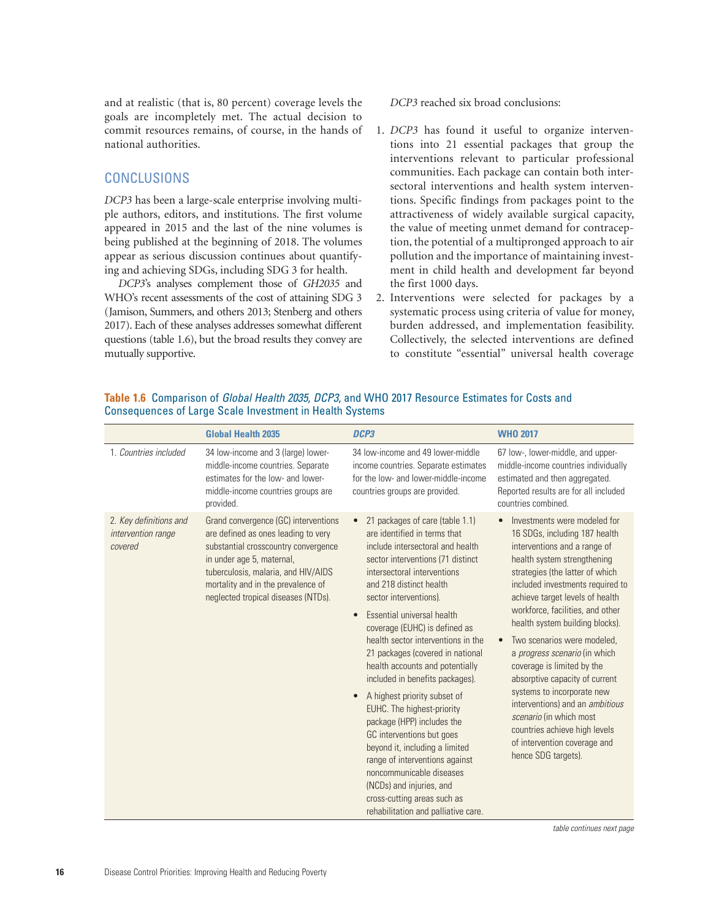and at realistic (that is, 80 percent) coverage levels the goals are incompletely met. The actual decision to commit resources remains, of course, in the hands of national authorities.

## CONCLUSIONS

*DCP3* has been a large-scale enterprise involving multiple authors, editors, and institutions. The first volume appeared in 2015 and the last of the nine volumes is being published at the beginning of 2018. The volumes appear as serious discussion continues about quantifying and achieving SDGs, including SDG 3 for health.

*DCP3*'s analyses complement those of *GH2035* and WHO's recent assessments of the cost of attaining SDG 3 (Jamison, Summers, and others 2013; Stenberg and others 2017). Each of these analyses addresses somewhat different questions (table 1.6), but the broad results they convey are mutually supportive.

*DCP3* reached six broad conclusions:

- 1. *DCP3* has found it useful to organize interventions into 21 essential packages that group the interventions relevant to particular professional communities. Each package can contain both intersectoral interventions and health system interventions. Specific findings from packages point to the attractiveness of widely available surgical capacity, the value of meeting unmet demand for contraception, the potential of a multipronged approach to air pollution and the importance of maintaining investment in child health and development far beyond the first 1000 days.
- 2. Interventions were selected for packages by a systematic process using criteria of value for money, burden addressed, and implementation feasibility. Collectively, the selected interventions are defined to constitute "essential" universal health coverage

|                                                         | <b>Global Health 2035</b>                                                                                                                                                                                                                                            | DCP3                                                                                                                                                                                                                                                                                                                                                                                                                                                                                                                                                                                                                                                                                                                                                                                             | <b>WHO 2017</b>                                                                                                                                                                                                                                                                                                                                                                                                                                                                                                                                                                                                                          |
|---------------------------------------------------------|----------------------------------------------------------------------------------------------------------------------------------------------------------------------------------------------------------------------------------------------------------------------|--------------------------------------------------------------------------------------------------------------------------------------------------------------------------------------------------------------------------------------------------------------------------------------------------------------------------------------------------------------------------------------------------------------------------------------------------------------------------------------------------------------------------------------------------------------------------------------------------------------------------------------------------------------------------------------------------------------------------------------------------------------------------------------------------|------------------------------------------------------------------------------------------------------------------------------------------------------------------------------------------------------------------------------------------------------------------------------------------------------------------------------------------------------------------------------------------------------------------------------------------------------------------------------------------------------------------------------------------------------------------------------------------------------------------------------------------|
| 1. Countries included                                   | 34 low-income and 3 (large) lower-<br>middle-income countries. Separate<br>estimates for the low- and lower-<br>middle-income countries groups are<br>provided.                                                                                                      | 34 low-income and 49 lower-middle<br>income countries. Separate estimates<br>for the low- and lower-middle-income<br>countries groups are provided.                                                                                                                                                                                                                                                                                                                                                                                                                                                                                                                                                                                                                                              | 67 low-, lower-middle, and upper-<br>middle-income countries individually<br>estimated and then aggregated.<br>Reported results are for all included<br>countries combined.                                                                                                                                                                                                                                                                                                                                                                                                                                                              |
| 2. Key definitions and<br>intervention range<br>covered | Grand convergence (GC) interventions<br>are defined as ones leading to very<br>substantial crosscountry convergence<br>in under age 5, maternal,<br>tuberculosis, malaria, and HIV/AIDS<br>mortality and in the prevalence of<br>neglected tropical diseases (NTDs). | 21 packages of care (table 1.1)<br>$\bullet$<br>are identified in terms that<br>include intersectoral and health<br>sector interventions (71 distinct<br>intersectoral interventions<br>and 218 distinct health<br>sector interventions).<br>Essential universal health<br>$\bullet$<br>coverage (EUHC) is defined as<br>health sector interventions in the<br>21 packages (covered in national<br>health accounts and potentially<br>included in benefits packages).<br>A highest priority subset of<br>EUHC. The highest-priority<br>package (HPP) includes the<br>GC interventions but goes<br>beyond it, including a limited<br>range of interventions against<br>noncommunicable diseases<br>(NCDs) and injuries, and<br>cross-cutting areas such as<br>rehabilitation and palliative care. | Investments were modeled for<br>16 SDGs, including 187 health<br>interventions and a range of<br>health system strengthening<br>strategies (the latter of which<br>included investments required to<br>achieve target levels of health<br>workforce, facilities, and other<br>health system building blocks).<br>Two scenarios were modeled.<br>a progress scenario (in which<br>coverage is limited by the<br>absorptive capacity of current<br>systems to incorporate new<br>interventions) and an <i>ambitious</i><br>scenario (in which most<br>countries achieve high levels<br>of intervention coverage and<br>hence SDG targets). |

**Table 1.6** Comparison of Global Health 2035, DCP3, and WHO 2017 Resource Estimates for Costs and Consequences of Large Scale Investment in Health Systems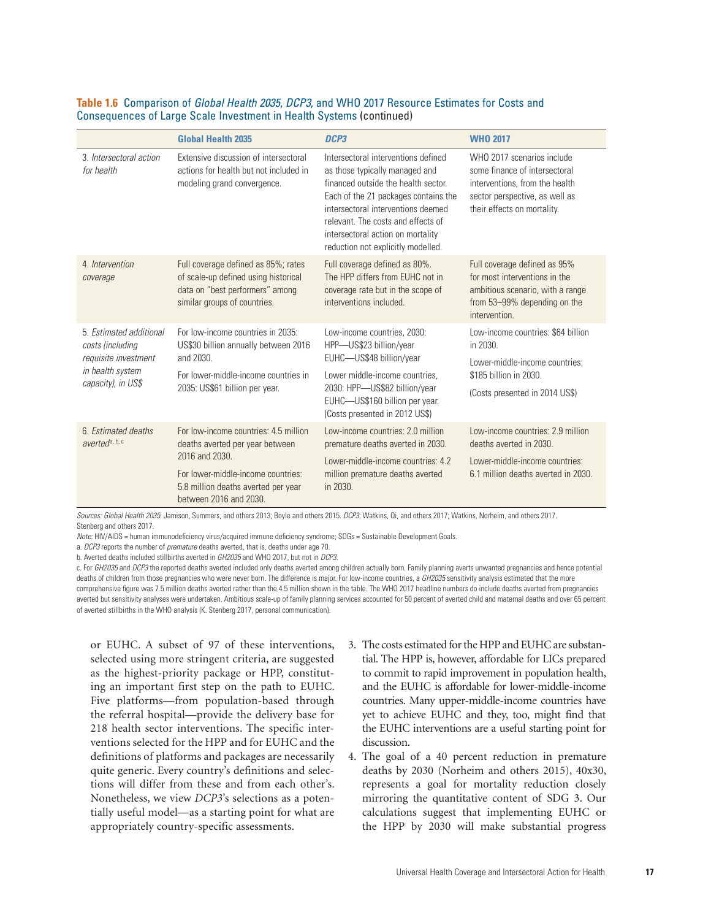|                                                                                                               | <b>Global Health 2035</b>                                                                                                                                                                         | DCP3                                                                                                                                                                                                                                                                                                        | <b>WHO 2017</b>                                                                                                                                                |
|---------------------------------------------------------------------------------------------------------------|---------------------------------------------------------------------------------------------------------------------------------------------------------------------------------------------------|-------------------------------------------------------------------------------------------------------------------------------------------------------------------------------------------------------------------------------------------------------------------------------------------------------------|----------------------------------------------------------------------------------------------------------------------------------------------------------------|
| 3. Intersectoral action<br>for health                                                                         | Extensive discussion of intersectoral<br>actions for health but not included in<br>modeling grand convergence.                                                                                    | Intersectoral interventions defined<br>as those typically managed and<br>financed outside the health sector.<br>Each of the 21 packages contains the<br>intersectoral interventions deemed<br>relevant. The costs and effects of<br>intersectoral action on mortality<br>reduction not explicitly modelled. | WHO 2017 scenarios include<br>some finance of intersectoral<br>interventions, from the health<br>sector perspective, as well as<br>their effects on mortality. |
| 4 Intervention<br>coverage                                                                                    | Full coverage defined as 85%; rates<br>of scale-up defined using historical<br>data on "best performers" among<br>similar groups of countries.                                                    | Full coverage defined as 80%.<br>The HPP differs from EUHC not in<br>coverage rate but in the scope of<br>interventions included.                                                                                                                                                                           | Full coverage defined as 95%<br>for most interventions in the<br>ambitious scenario, with a range<br>from 53-99% depending on the<br>intervention.             |
| 5. Estimated additional<br>costs (including<br>requisite investment<br>in health system<br>capacity), in US\$ | For low-income countries in 2035:<br>US\$30 billion annually between 2016<br>and 2030.<br>For lower-middle-income countries in<br>2035: US\$61 billion per year.                                  | Low-income countries, 2030:<br>HPP-US\$23 billion/year<br>EUHC-US\$48 billion/year<br>Lower middle-income countries.<br>2030: HPP-US\$82 billion/year<br>EUHC-US\$160 billion per year.<br>(Costs presented in 2012 US\$)                                                                                   | Low-income countries: \$64 billion<br>in 2030.<br>Lower-middle-income countries:<br>\$185 billion in 2030.<br>(Costs presented in 2014 US\$)                   |
| 6. Estimated deaths<br>averted <sup>a, b, c</sup>                                                             | For low-income countries: 4.5 million<br>deaths averted per year between<br>2016 and 2030.<br>For lower-middle-income countries:<br>5.8 million deaths averted per year<br>between 2016 and 2030. | Low-income countries: 2.0 million<br>premature deaths averted in 2030.<br>Lower-middle-income countries: 4.2<br>million premature deaths averted<br>in 2030.                                                                                                                                                | Low-income countries: 2.9 million<br>deaths averted in 2030.<br>Lower-middle-income countries:<br>6.1 million deaths averted in 2030.                          |

## **Table 1.6** Comparison of Global Health 2035, DCP3, and WHO 2017 Resource Estimates for Costs and Consequences of Large Scale Investment in Health Systems (continued)

Sources: Global Health 2035: Jamison, Summers, and others 2013; Boyle and others 2015. DCP3: Watkins, Qi, and others 2017; Watkins, Norheim, and others 2017. Stenberg and others 2017.

Note: HIV/AIDS = human immunodeficiency virus/acquired immune deficiency syndrome; SDGs = Sustainable Development Goals.

a. DCP3 reports the number of *premature* deaths averted, that is, deaths under age 70.

b. Averted deaths included stillbirths averted in GH2035 and WHO 2017, but not in DCP3.

c. For GH2035 and DCP3 the reported deaths averted included only deaths averted among children actually born. Family planning averts unwanted pregnancies and hence potential deaths of children from those pregnancies who were never born. The difference is major. For low-income countries, a GH2035 sensitivity analysis estimated that the more comprehensive figure was 7.5 million deaths averted rather than the 4.5 million shown in the table. The WHO 2017 headline numbers do include deaths averted from pregnancies averted but sensitivity analyses were undertaken. Ambitious scale-up of family planning services accounted for 50 percent of averted child and maternal deaths and over 65 percent of averted stillbirths in the WHO analysis (K. Stenberg 2017, personal communication).

or EUHC. A subset of 97 of these interventions, selected using more stringent criteria, are suggested as the highest- priority package or HPP, constituting an important first step on the path to EUHC. Five platforms—from population-based through the referral hospital— provide the delivery base for 218 health sector interventions. The specific interventions selected for the HPP and for EUHC and the definitions of platforms and packages are necessarily quite generic. Every country's definitions and selections will differ from these and from each other's. Nonetheless, we view *DCP3*'s selections as a potentially useful model—as a starting point for what are appropriately country-specific assessments.

- 3. The costs estimated for the HPP and EUHC are substantial. The HPP is, however, affordable for LICs prepared to commit to rapid improvement in population health, and the EUHC is affordable for lower-middle-income countries. Many upper-middle-income countries have yet to achieve EUHC and they, too, might find that the EUHC interventions are a useful starting point for discussion.
- 4. The goal of a 40 percent reduction in premature deaths by 2030 (Norheim and others 2015), 40x30, represents a goal for mortality reduction closely mirroring the quantitative content of SDG 3. Our calculations suggest that implementing EUHC or the HPP by 2030 will make substantial progress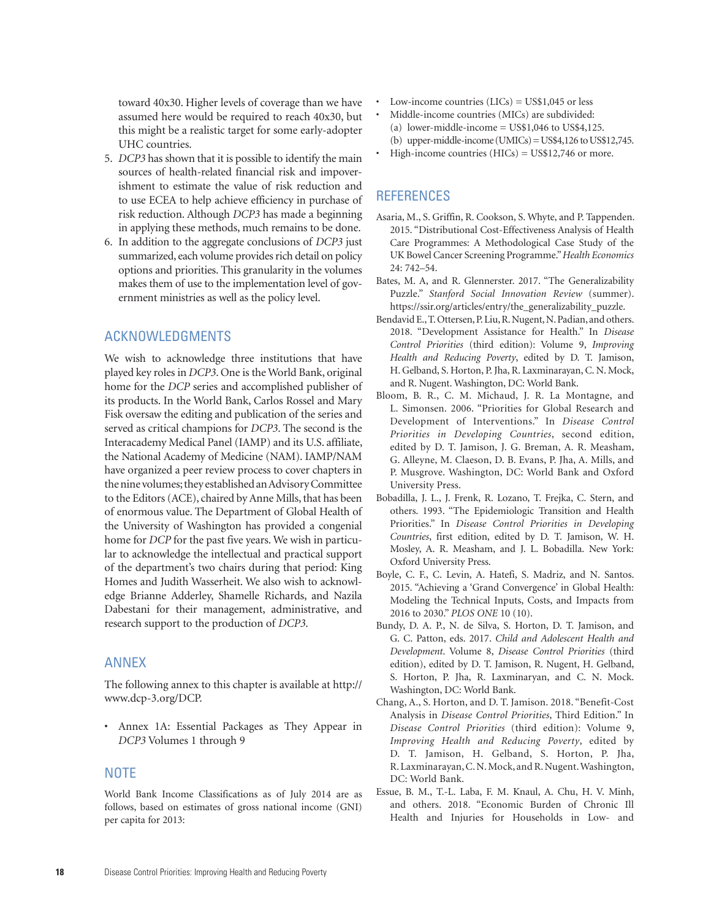toward 40x30. Higher levels of coverage than we have assumed here would be required to reach 40x30, but this might be a realistic target for some early-adopter UHC countries.

- 5. *DCP3* has shown that it is possible to identify the main sources of health-related financial risk and impoverishment to estimate the value of risk reduction and to use ECEA to help achieve efficiency in purchase of risk reduction. Although *DCP3* has made a beginning in applying these methods, much remains to be done.
- 6. In addition to the aggregate conclusions of *DCP3* just summarized, each volume provides rich detail on policy options and priorities. This granularity in the volumes makes them of use to the implementation level of government ministries as well as the policy level.

# ACKNOWLEDGMENTS

We wish to acknowledge three institutions that have played key roles in *DCP3*. One is the World Bank, original home for the *DCP* series and accomplished publisher of its products. In the World Bank, Carlos Rossel and Mary Fisk oversaw the editing and publication of the series and served as critical champions for *DCP3*. The second is the Interacademy Medical Panel (IAMP) and its U.S. affiliate, the National Academy of Medicine (NAM). IAMP/NAM have organized a peer review process to cover chapters in the nine volumes; they established an Advisory Committee to the Editors (ACE), chaired by Anne Mills, that has been of enormous value. The Department of Global Health of the University of Washington has provided a congenial home for *DCP* for the past five years. We wish in particular to acknowledge the intellectual and practical support of the department's two chairs during that period: King Homes and Judith Wasserheit. We also wish to acknowledge Brianne Adderley, Shamelle Richards, and Nazila Dabestani for their management, administrative, and research support to the production of *DCP3*.

## ANNEX

The following annex to this chapter is available at [http://](http://www.dcp-3.org/DCP) [www.dcp-3.org/DCP.](http://www.dcp-3.org/DCP)

• Annex 1A: Essential Packages as They Appear in *DCP3* Volumes 1 through 9

## **NOTE**

World Bank Income Classifications as of July 2014 are as follows, based on estimates of gross national income (GNI) per capita for 2013:

- Low-income countries  $(LICs) = US$1,045$  or less
- Middle-income countries (MICs) are subdivided: (a) lower-middle-income  $=$  US\$1,046 to US\$4,125. (b) upper-middle-income (UMICs) = US\$4,126 to US\$12,745.
- High-income countries  $(HICs) = US$12,746$  or more.

# **REFERENCES**

- Asaria, M., S. Griffin, R. Cookson, S. Whyte, and P. Tappenden. 2015. "Distributional Cost-Effectiveness Analysis of Health Care Programmes: A Methodological Case Study of the UK Bowel Cancer Screening Programme." *Health Economics* 24: 742–54.
- Bates, M. A, and R. Glennerster. 2017. "The Generalizability Puzzle." *Stanford Social Innovation Review* (summer). [https://ssir.org/articles/entry/the\\_generalizability\\_puzzle.](https://ssir.org/articles/entry/the_generalizability_puzzle)
- Bendavid E., T. Ottersen, P. Liu, R. Nugent, N. Padian, and others. 2018. "Development Assistance for Health." In *Disease Control Priorities* (third edition): Volume 9, *Improving Health and Reducing Poverty*, edited by D. T. Jamison, H. Gelband, S. Horton, P. Jha, R. Laxminarayan, C. N. Mock, and R. Nugent. Washington, DC: World Bank.
- Bloom, B. R., C. M. Michaud, J. R. La Montagne, and L. Simonsen. 2006. "Priorities for Global Research and Development of Interventions." In *Disease Control Priorities in Developing Countries*, second edition, edited by D. T. Jamison, J. G. Breman, A. R. Measham, G. Alleyne, M. Claeson, D. B. Evans, P. Jha, A. Mills, and P. Musgrove. Washington, DC: World Bank and Oxford University Press.
- Bobadilla, J. L., J. Frenk, R. Lozano, T. Frejka, C. Stern, and others. 1993. "The Epidemiologic Transition and Health Priorities." In *Disease Control Priorities in Developing Countries*, first edition, edited by D. T. Jamison, W. H. Mosley, A. R. Measham, and J. L. Bobadilla. New York: Oxford University Press.
- Boyle, C. F., C. Levin, A. Hatefi, S. Madriz, and N. Santos. 2015. "Achieving a 'Grand Convergence' in Global Health: Modeling the Technical Inputs, Costs, and Impacts from 2016 to 2030." *PLOS ONE* 10 (10).
- Bundy, D. A. P., N. de Silva, S. Horton, D. T. Jamison, and G. C. Patton, eds. 2017. *Child and Adolescent Health and Development*. Volume 8, *Disease Control Priorities* (third edition), edited by D. T. Jamison, R. Nugent, H. Gelband, S. Horton, P. Jha, R. Laxminaryan, and C. N. Mock. Washington, DC: World Bank.
- Chang, A., S. Horton, and D. T. Jamison. 2018. "Benefit-Cost Analysis in *Disease Control Priorities*, Third Edition." In *Disease Control Priorities* (third edition): Volume 9, *Improving Health and Reducing Poverty*, edited by D. T. Jamison, H. Gelband, S. Horton, P. Jha, R. Laxminarayan, C. N. Mock, and R. Nugent. Washington, DC: World Bank.
- Essue, B. M., T.-L. Laba, F. M. Knaul, A. Chu, H. V. Minh, and others. 2018. "Economic Burden of Chronic Ill Health and Injuries for Households in Low- and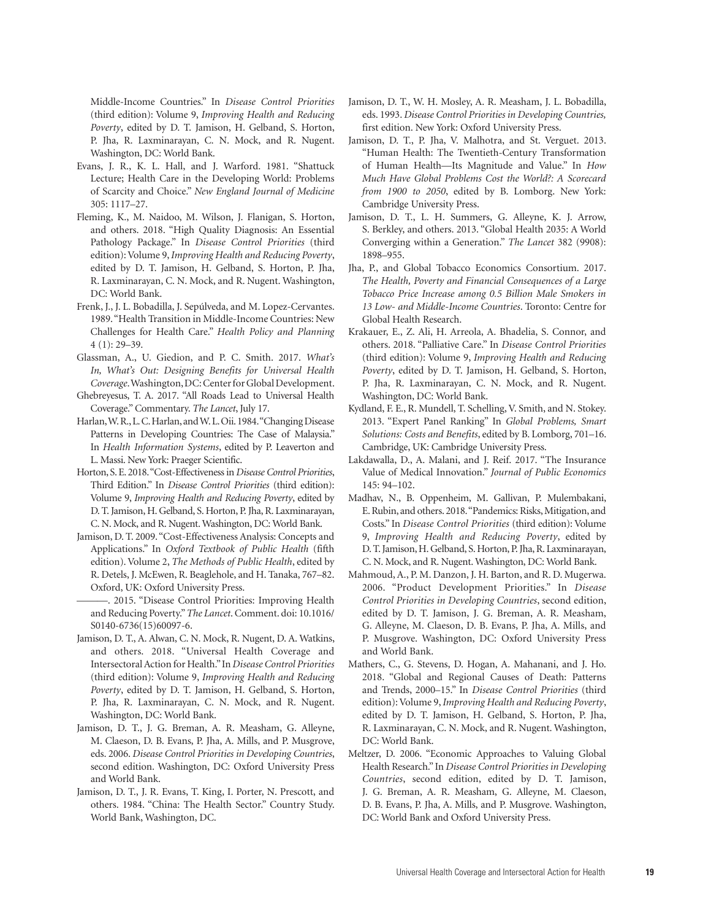Middle-Income Countries." In *Disease Control Priorities* (third edition): Volume 9, *Improving Health and Reducing Poverty*, edited by D. T. Jamison, H. Gelband, S. Horton, P. Jha, R. Laxminarayan, C. N. Mock, and R. Nugent. Washington, DC: World Bank.

- Evans, J. R., K. L. Hall, and J. Warford. 1981. "Shattuck Lecture; Health Care in the Developing World: Problems of Scarcity and Choice." *New England Journal of Medicine* 305: 1117–27.
- Fleming, K., M. Naidoo, M. Wilson, J. Flanigan, S. Horton, and others. 2018. "High Quality Diagnosis: An Essential Pathology Package." In *Disease Control Priorities* (third edition): Volume 9, *Improving Health and Reducing Poverty*, edited by D. T. Jamison, H. Gelband, S. Horton, P. Jha, R. Laxminarayan, C. N. Mock, and R. Nugent. Washington, DC: World Bank.
- Frenk, J., J. L. Bobadilla, J. Sepúlveda, and M. Lopez-Cervantes. 1989. "Health Transition in Middle-Income Countries: New Challenges for Health Care." *Health Policy and Planning* 4 (1): 29–39.
- Glassman, A., U. Giedion, and P. C. Smith. 2017. *What's In, What's Out: Designing Benefits for Universal Health Coverage*. Washington, DC: Center for Global Development.
- Ghebreyesus, T. A. 2017. "All Roads Lead to Universal Health Coverage." Commentary. *The Lancet*, July 17.
- Harlan, W. R., L. C. Harlan, and W. L. Oii. 1984. "Changing Disease Patterns in Developing Countries: The Case of Malaysia." In *Health Information Systems*, edited by P. Leaverton and L. Massi. New York: Praeger Scientific.
- Horton, S. E. 2018. "Cost-Effectiveness in *Disease Control Priorities*, Third Edition." In *Disease Control Priorities* (third edition): Volume 9, *Improving Health and Reducing Poverty*, edited by D. T. Jamison, H. Gelband, S. Horton, P. Jha, R. Laxminarayan, C. N. Mock, and R. Nugent. Washington, DC: World Bank.
- Jamison, D. T. 2009. "Cost-Effectiveness Analysis: Concepts and Applications." In *Oxford Textbook of Public Health* (fifth edition). Volume 2, *The Methods of Public Health*, edited by R. Detels, J. McEwen, R. Beaglehole, and H. Tanaka, 767–82. Oxford, UK: Oxford University Press.

-. 2015. "Disease Control Priorities: Improving Health and Reducing Poverty." *The Lancet*. Comment. doi: 10.1016/ S0140-6736(15)60097-6.

- Jamison, D. T., A. Alwan, C. N. Mock, R. Nugent, D. A. Watkins, and others. 2018. "Universal Health Coverage and Intersectoral Action for Health." In *Disease Control Priorities* (third edition): Volume 9, *Improving Health and Reducing Poverty*, edited by D. T. Jamison, H. Gelband, S. Horton, P. Jha, R. Laxminarayan, C. N. Mock, and R. Nugent. Washington, DC: World Bank.
- Jamison, D. T., J. G. Breman, A. R. Measham, G. Alleyne, M. Claeson, D. B. Evans, P. Jha, A. Mills, and P. Musgrove, eds. 2006. *Disease Control Priorities in Developing Countries*, second edition. Washington, DC: Oxford University Press and World Bank.
- Jamison, D. T., J. R. Evans, T. King, I. Porter, N. Prescott, and others. 1984. "China: The Health Sector." Country Study. World Bank, Washington, DC.
- Jamison, D. T., W. H. Mosley, A. R. Measham, J. L. Bobadilla, eds. 1993. *Disease Control Priorities in Developing Countries,*  first edition. New York: Oxford University Press.
- Jamison, D. T., P. Jha, V. Malhotra, and St. Verguet. 2013. "Human Health: The Twentieth-Century Transformation of Human Health—Its Magnitude and Value." In *How Much Have Global Problems Cost the World?: A Scorecard from 1900 to 2050*, edited by B. Lomborg. New York: Cambridge University Press.
- Jamison, D. T., L. H. Summers, G. Alleyne, K. J. Arrow, S. Berkley, and others. 2013. "Global Health 2035: A World Converging within a Generation." *The Lancet* 382 (9908): 1898–955.
- Jha, P., and Global Tobacco Economics Consortium. 2017. *The Health, Poverty and Financial Consequences of a Large Tobacco Price Increase among 0.5 Billion Male Smokers in 13 Low- and Middle-Income Countries*. Toronto: Centre for Global Health Research.
- Krakauer, E., Z. Ali, H. Arreola, A. Bhadelia, S. Connor, and others. 2018. "Palliative Care." In *Disease Control Priorities*  (third edition): Volume 9, *Improving Health and Reducing Poverty*, edited by D. T. Jamison, H. Gelband, S. Horton, P. Jha, R. Laxminarayan, C. N. Mock, and R. Nugent. Washington, DC: World Bank.
- Kydland, F. E., R. Mundell, T. Schelling, V. Smith, and N. Stokey. 2013. "Expert Panel Ranking" In *Global Problems, Smart Solutions: Costs and Benefits*, edited by B. Lomborg, 701–16. Cambridge, UK: Cambridge University Press.
- Lakdawalla, D., A. Malani, and J. Reif. 2017. "The Insurance Value of Medical Innovation." *Journal of Public Economics*  145: 94–102.
- Madhav, N., B. Oppenheim, M. Gallivan, P. Mulembakani, E. Rubin, and others. 2018. "Pandemics: Risks, Mitigation, and Costs." In *Disease Control Priorities* (third edition): Volume 9, *Improving Health and Reducing Poverty*, edited by D. T. Jamison, H. Gelband, S. Horton, P. Jha, R. Laxminarayan, C. N. Mock, and R. Nugent. Washington, DC: World Bank.
- Mahmoud, A., P. M. Danzon, J. H. Barton, and R. D. Mugerwa. 2006. "Product Development Priorities." In *Disease Control Priorities in Developing Countries*, second edition, edited by D. T. Jamison, J. G. Breman, A. R. Measham, G. Alleyne, M. Claeson, D. B. Evans, P. Jha, A. Mills, and P. Musgrove. Washington, DC: Oxford University Press and World Bank.
- Mathers, C., G. Stevens, D. Hogan, A. Mahanani, and J. Ho. 2018. "Global and Regional Causes of Death: Patterns and Trends, 2000–15." In *Disease Control Priorities* (third edition): Volume 9, *Improving Health and Reducing Poverty*, edited by D. T. Jamison, H. Gelband, S. Horton, P. Jha, R. Laxminarayan, C. N. Mock, and R. Nugent. Washington, DC: World Bank.
- Meltzer, D. 2006. "Economic Approaches to Valuing Global Health Research." In *Disease Control Priorities in Developing Countries*, second edition, edited by D. T. Jamison, J. G. Breman, A. R. Measham, G. Alleyne, M. Claeson, D. B. Evans, P. Jha, A. Mills, and P. Musgrove. Washington, DC: World Bank and Oxford University Press.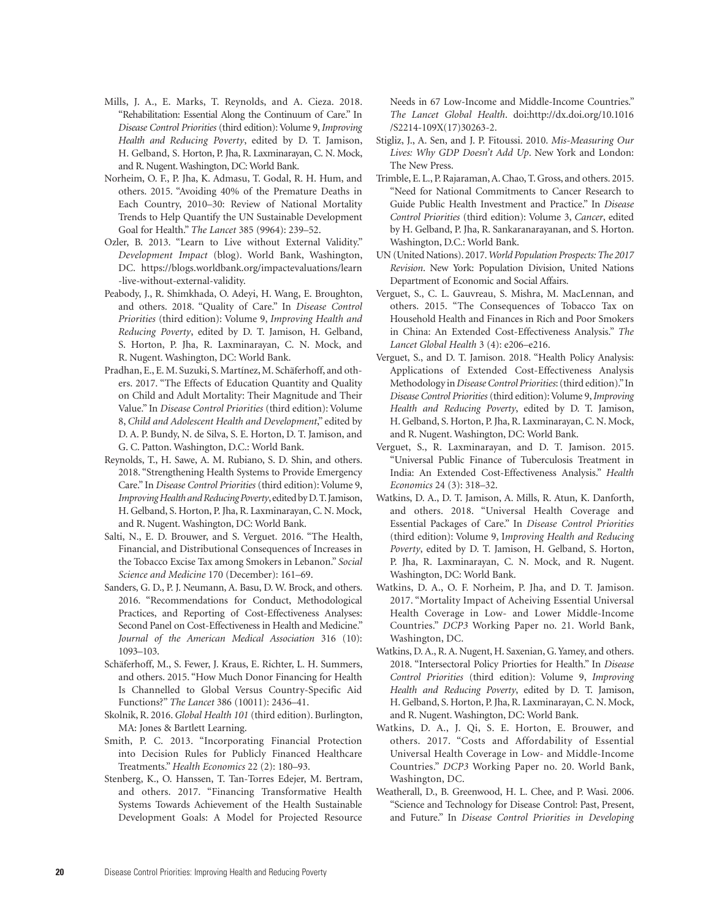- Mills, J. A., E. Marks, T. Reynolds, and A. Cieza. 2018. "Rehabilitation: Essential Along the Continuum of Care." In *Disease Control Priorities* (third edition): Volume 9, *Improving Health and Reducing Poverty*, edited by D. T. Jamison, H. Gelband, S. Horton, P. Jha, R. Laxminarayan, C. N. Mock, and R. Nugent. Washington, DC: World Bank.
- Norheim, O. F., P. Jha, K. Admasu, T. Godal, R. H. Hum, and others. 2015. "Avoiding 40% of the Premature Deaths in Each Country, 2010–30: Review of National Mortality Trends to Help Quantify the UN Sustainable Development Goal for Health." *The Lancet* 385 (9964): 239–52.
- Ozler, B. 2013. "Learn to Live without External Validity." *Development Impact* (blog). World Bank, Washington, DC. [https://blogs.worldbank.org/impactevaluations/learn](https://blogs.worldbank.org/impactevaluations/learn-live-without-external-validity)  [-live-without-external-validity.](https://blogs.worldbank.org/impactevaluations/learn-live-without-external-validity)
- Peabody, J., R. Shimkhada, O. Adeyi, H. Wang, E. Broughton, and others. 2018. "Quality of Care." In *Disease Control Priorities* (third edition): Volume 9, *Improving Health and Reducing Poverty*, edited by D. T. Jamison, H. Gelband, S. Horton, P. Jha, R. Laxminarayan, C. N. Mock, and R. Nugent. Washington, DC: World Bank.
- Pradhan, E., E. M. Suzuki, S. Martínez, M. Schäferhoff, and others. 2017. "The Effects of Education Quantity and Quality on Child and Adult Mortality: Their Magnitude and Their Value." In *Disease Control Priorities* (third edition): Volume 8, *Child and Adolescent Health and Development*," edited by D. A. P. Bundy, N. de Silva, S. E. Horton, D. T. Jamison, and G. C. Patton. Washington, D.C.: World Bank.
- Reynolds, T., H. Sawe, A. M. Rubiano, S. D. Shin, and others. 2018. "Strengthening Health Systems to Provide Emergency Care." In *Disease Control Priorities* (third edition): Volume 9, *Improving Health and Reducing Poverty*, edited by D. T. Jamison, H. Gelband, S. Horton, P. Jha, R. Laxminarayan, C. N. Mock, and R. Nugent. Washington, DC: World Bank.
- Salti, N., E. D. Brouwer, and S. Verguet. 2016. "The Health, Financial, and Distributional Consequences of Increases in the Tobacco Excise Tax among Smokers in Lebanon." *Social Science and Medicine* 170 (December): 161–69.
- Sanders, G. D., P. J. Neumann, A. Basu, D. W. Brock, and others. 2016. "Recommendations for Conduct, Methodological Practices, and Reporting of Cost-Effectiveness Analyses: Second Panel on Cost-Effectiveness in Health and Medicine." *Journal of the American Medical Association* 316 (10): 1093–103.
- Schäferhoff, M., S. Fewer, J. Kraus, E. Richter, L. H. Summers, and others. 2015. "How Much Donor Financing for Health Is Channelled to Global Versus Country-Specific Aid Functions?" *The Lancet* 386 (10011): 2436–41.
- Skolnik, R. 2016. *Global Health 101* (third edition). Burlington, MA: Jones & Bartlett Learning.
- Smith, P. C. 2013. "Incorporating Financial Protection into Decision Rules for Publicly Financed Healthcare Treatments." *Health Economics* 22 (2): 180–93.
- Stenberg, K., O. Hanssen, T. Tan-Torres Edejer, M. Bertram, and others. 2017. "Financing Transformative Health Systems Towards Achievement of the Health Sustainable Development Goals: A Model for Projected Resource

Needs in 67 Low-Income and Middle-Income Countries." *The Lancet Global Health*. [doi:http://dx.doi.org/10.1016](http://dx.doi.org/10.1016/S2214-109X(17)30263-2)  [/ S2214-109X\(17\)30263-2.](http://dx.doi.org/10.1016/S2214-109X(17)30263-2)

- Stigliz, J., A. Sen, and J. P. Fitoussi. 2010. *Mis-Measuring Our Lives: Why GDP Doesn't Add Up*. New York and London: The New Press.
- Trimble, E. L., P. Rajaraman, A. Chao, T. Gross, and others. 2015. "Need for National Commitments to Cancer Research to Guide Public Health Investment and Practice." In *Disease Control Priorities* (third edition): Volume 3, *Cancer*, edited by H. Gelband, P. Jha, R. Sankaranarayanan, and S. Horton. Washington, D.C.: World Bank.
- UN (United Nations). 2017. *World Population Prospects: The 2017 Revision*. New York: Population Division, United Nations Department of Economic and Social Affairs.
- Verguet, S., C. L. Gauvreau, S. Mishra, M. MacLennan, and others. 2015. "The Consequences of Tobacco Tax on Household Health and Finances in Rich and Poor Smokers in China: An Extended Cost-Effectiveness Analysis." *The Lancet Global Health* 3 (4): e206–e216.
- Verguet, S., and D. T. Jamison. 2018. "Health Policy Analysis: Applications of Extended Cost-Effectiveness Analysis Methodology in *Disease Control Priorities*: (third edition)." In *Disease Control Priorities* (third edition): Volume 9, *Improving Health and Reducing Poverty*, edited by D. T. Jamison, H. Gelband, S. Horton, P. Jha, R. Laxminarayan, C. N. Mock, and R. Nugent. Washington, DC: World Bank.
- Verguet, S., R. Laxminarayan, and D. T. Jamison. 2015. "Universal Public Finance of Tuberculosis Treatment in India: An Extended Cost-Effectiveness Analysis." *Health Economics* 24 (3): 318–32.
- Watkins, D. A., D. T. Jamison, A. Mills, R. Atun, K. Danforth, and others. 2018. "Universal Health Coverage and Essential Packages of Care." In *Disease Control Priorities* (third edition): Volume 9, I*mproving Health and Reducing Poverty*, edited by D. T. Jamison, H. Gelband, S. Horton, P. Jha, R. Laxminarayan, C. N. Mock, and R. Nugent. Washington, DC: World Bank.
- Watkins, D. A., O. F. Norheim, P. Jha, and D. T. Jamison. 2017. "Mortality Impact of Acheiving Essential Universal Health Coverage in Low- and Lower Middle-Income Countries." *DCP3* Working Paper no. 21. World Bank, Washington, DC.
- Watkins, D. A., R. A. Nugent, H. Saxenian, G. Yamey, and others. 2018. "Intersectoral Policy Priorties for Health." In *Disease Control Priorities* (third edition): Volume 9, *Improving Health and Reducing Poverty*, edited by D. T. Jamison, H. Gelband, S. Horton, P. Jha, R. Laxminarayan, C. N. Mock, and R. Nugent. Washington, DC: World Bank.
- Watkins, D. A., J. Qi, S. E. Horton, E. Brouwer, and others. 2017. "Costs and Affordability of Essential Universal Health Coverage in Low- and Middle-Income Countries." *DCP3* Working Paper no. 20. World Bank, Washington, DC.
- Weatherall, D., B. Greenwood, H. L. Chee, and P. Wasi. 2006. "Science and Technology for Disease Control: Past, Present, and Future." In *Disease Control Priorities in Developing*